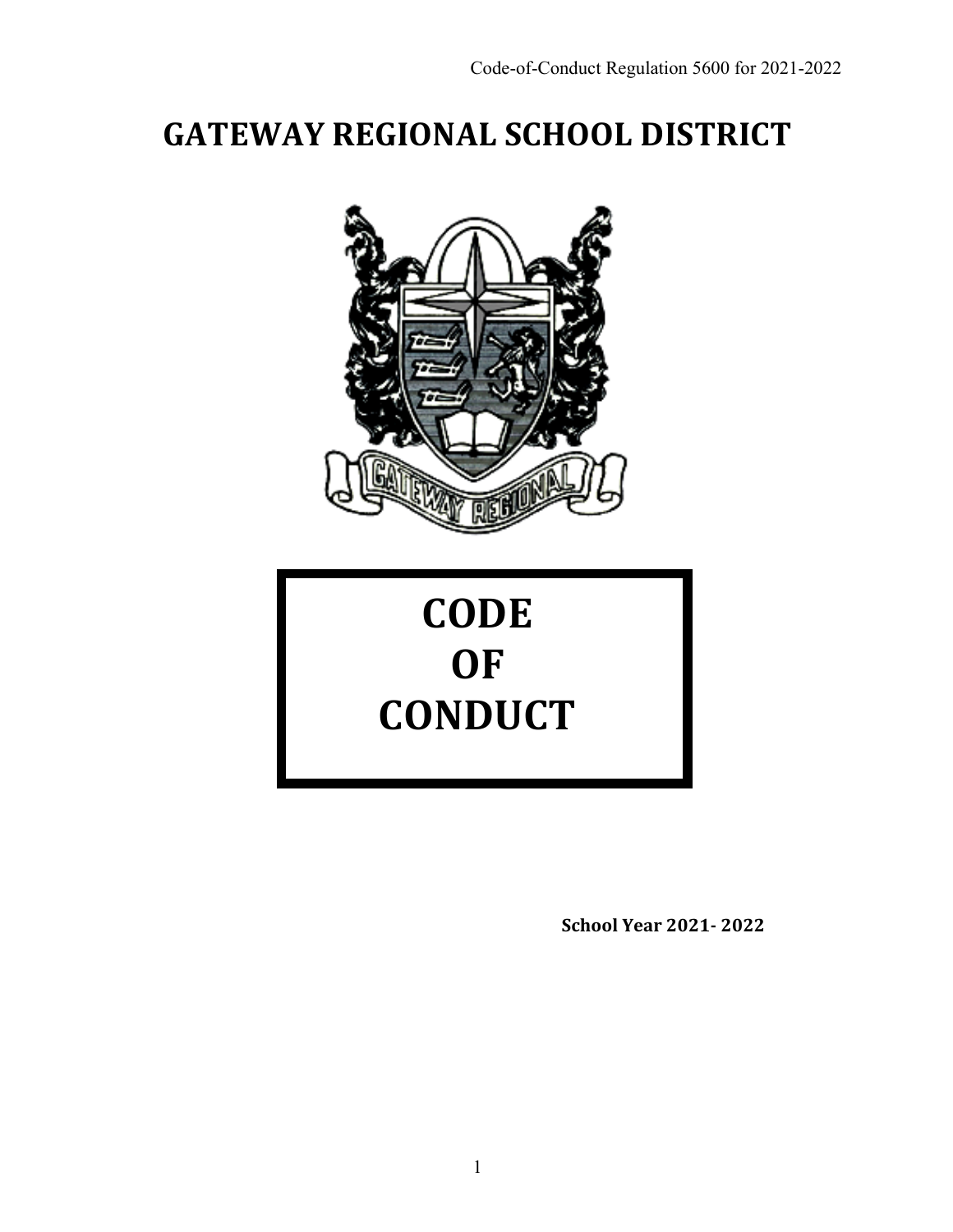# **GATEWAY REGIONAL SCHOOL DISTRICT**



# **CODE OF CONDUCT**

**School Year 2021- 2022**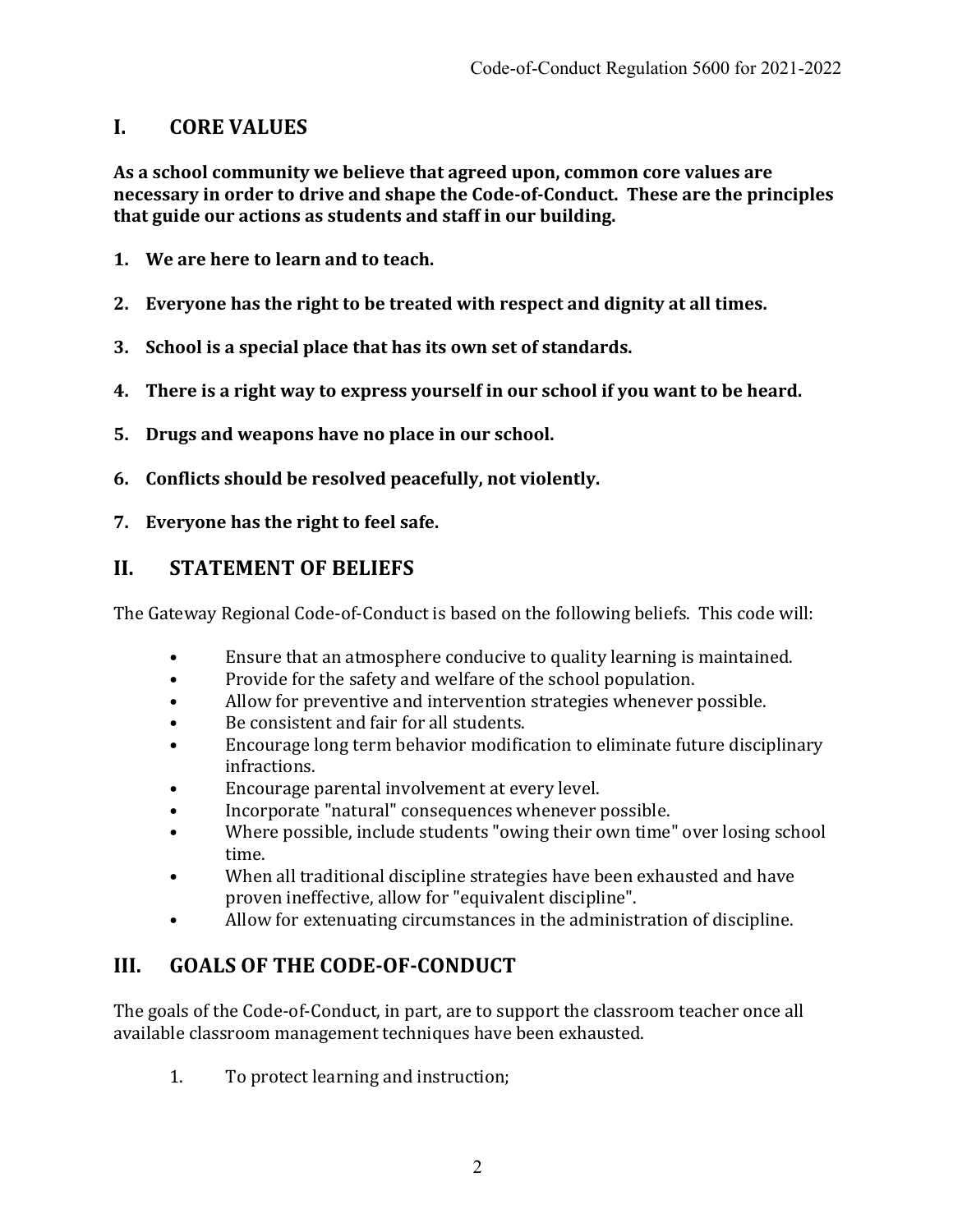## **I. CORE VALUES**

As a school community we believe that agreed upon, common core values are **necessary in order to drive and shape the Code-of-Conduct. These are the principles** that guide our actions as students and staff in our building.

- **1.** We are here to learn and to teach.
- 2. Everyone has the right to be treated with respect and dignity at all times.
- **3. School is a special place that has its own set of standards.**
- **4.** There is a right way to express yourself in our school if you want to be heard.
- **5.** Drugs and weapons have no place in our school.
- **6.** Conflicts should be resolved peacefully, not violently.
- **7.** Everyone has the right to feel safe.

## **II. STATEMENT OF BELIEFS**

The Gateway Regional Code-of-Conduct is based on the following beliefs. This code will:

- Ensure that an atmosphere conducive to quality learning is maintained.
- Provide for the safety and welfare of the school population.
- Allow for preventive and intervention strategies whenever possible.
- Be consistent and fair for all students.
- Encourage long term behavior modification to eliminate future disciplinary infractions.
- Encourage parental involvement at every level.
- Incorporate "natural" consequences whenever possible.
- Where possible, include students "owing their own time" over losing school time.
- When all traditional discipline strategies have been exhausted and have proven ineffective, allow for "equivalent discipline".
- Allow for extenuating circumstances in the administration of discipline.

# **III. GOALS OF THE CODE-OF-CONDUCT**

The goals of the Code-of-Conduct, in part, are to support the classroom teacher once all available classroom management techniques have been exhausted.

1. To protect learning and instruction;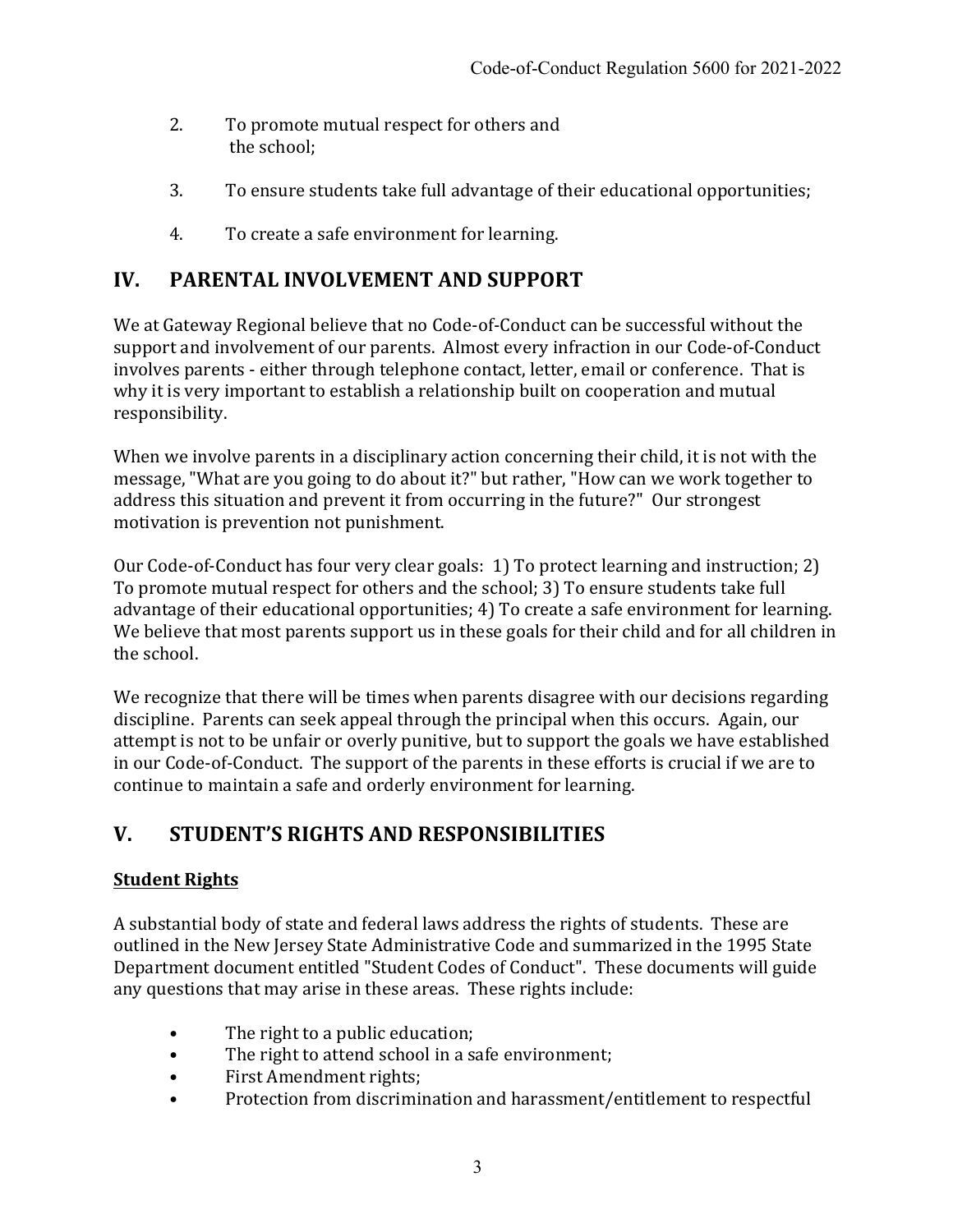- 2. To promote mutual respect for others and the school;
- 3. To ensure students take full advantage of their educational opportunities;
- 4. To create a safe environment for learning.

# **IV.** PARENTAL INVOLVEMENT AND SUPPORT

We at Gateway Regional believe that no Code-of-Conduct can be successful without the support and involvement of our parents. Almost every infraction in our Code-of-Conduct involves parents - either through telephone contact, letter, email or conference. That is why it is very important to establish a relationship built on cooperation and mutual responsibility.

When we involve parents in a disciplinary action concerning their child, it is not with the message, "What are you going to do about it?" but rather, "How can we work together to address this situation and prevent it from occurring in the future?" Our strongest motivation is prevention not punishment.

Our Code-of-Conduct has four very clear goals: 1) To protect learning and instruction; 2) To promote mutual respect for others and the school; 3) To ensure students take full advantage of their educational opportunities; 4) To create a safe environment for learning. We believe that most parents support us in these goals for their child and for all children in the school.

We recognize that there will be times when parents disagree with our decisions regarding discipline. Parents can seek appeal through the principal when this occurs. Again, our attempt is not to be unfair or overly punitive, but to support the goals we have established in our Code-of-Conduct. The support of the parents in these efforts is crucial if we are to continue to maintain a safe and orderly environment for learning.

# **V. STUDENT'S RIGHTS AND RESPONSIBILITIES**

## **Student Rights**

A substantial body of state and federal laws address the rights of students. These are outlined in the New Jersey State Administrative Code and summarized in the 1995 State Department document entitled "Student Codes of Conduct". These documents will guide any questions that may arise in these areas. These rights include:

- The right to a public education;
- The right to attend school in a safe environment;
- First Amendment rights;
- Protection from discrimination and harassment/entitlement to respectful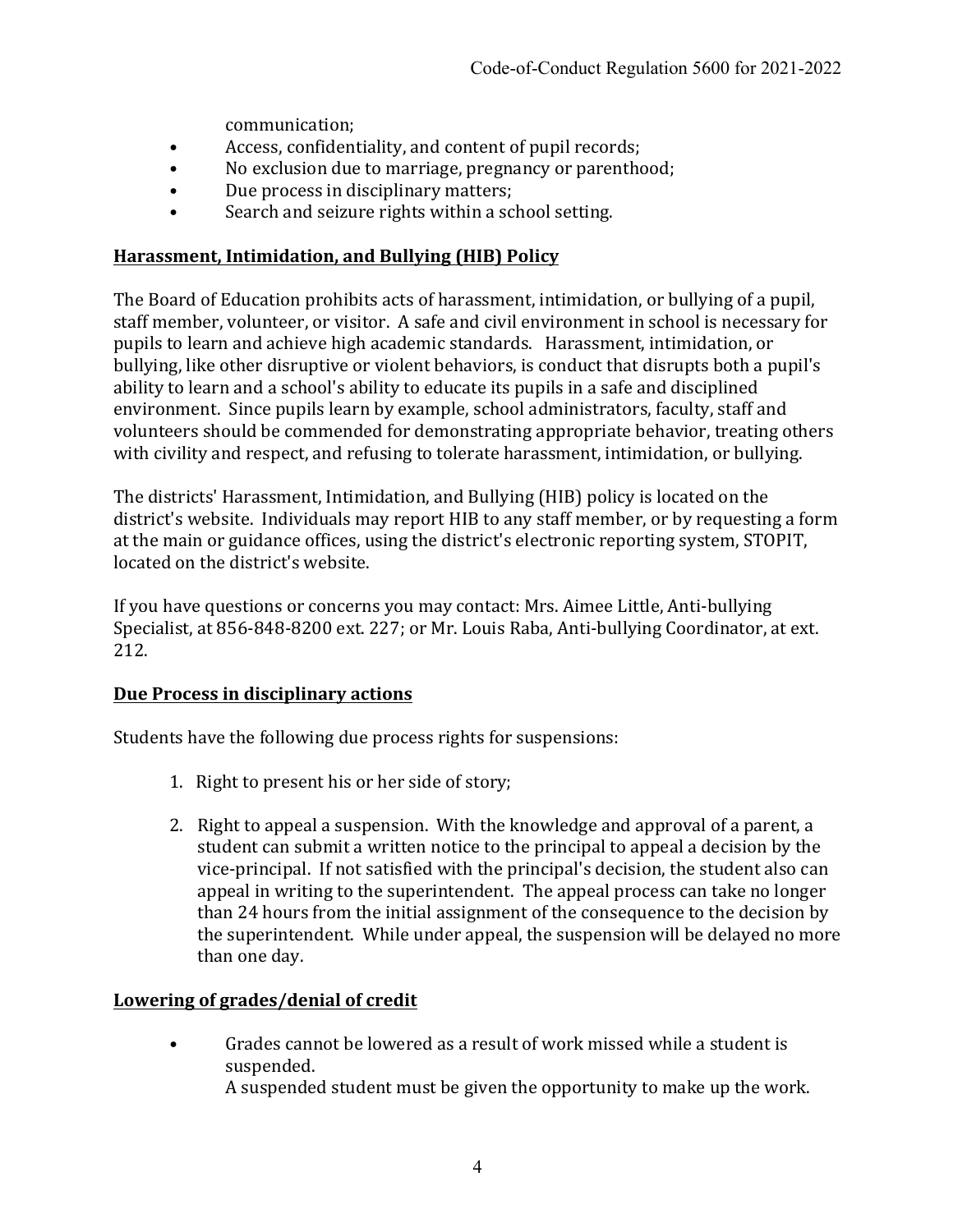communication;

- Access, confidentiality, and content of pupil records;
- No exclusion due to marriage, pregnancy or parenthood;
- Due process in disciplinary matters;
- Search and seizure rights within a school setting.

#### **Harassment, Intimidation, and Bullying (HIB) Policy**

The Board of Education prohibits acts of harassment, intimidation, or bullying of a pupil, staff member, volunteer, or visitor. A safe and civil environment in school is necessary for pupils to learn and achieve high academic standards. Harassment, intimidation, or bullying, like other disruptive or violent behaviors, is conduct that disrupts both a pupil's ability to learn and a school's ability to educate its pupils in a safe and disciplined environment. Since pupils learn by example, school administrators, faculty, staff and volunteers should be commended for demonstrating appropriate behavior, treating others with civility and respect, and refusing to tolerate harassment, intimidation, or bullying.

The districts' Harassment, Intimidation, and Bullying (HIB) policy is located on the district's website. Individuals may report HIB to any staff member, or by requesting a form at the main or guidance offices, using the district's electronic reporting system, STOPIT, located on the district's website.

If you have questions or concerns you may contact: Mrs. Aimee Little, Anti-bullying Specialist, at 856-848-8200 ext. 227; or Mr. Louis Raba, Anti-bullying Coordinator, at ext. 212.

#### **Due Process in disciplinary actions**

Students have the following due process rights for suspensions:

- 1. Right to present his or her side of story;
- 2. Right to appeal a suspension. With the knowledge and approval of a parent, a student can submit a written notice to the principal to appeal a decision by the vice-principal. If not satisfied with the principal's decision, the student also can appeal in writing to the superintendent. The appeal process can take no longer than 24 hours from the initial assignment of the consequence to the decision by the superintendent. While under appeal, the suspension will be delayed no more than one day.

#### **Lowering of grades/denial of credit**

• Grades cannot be lowered as a result of work missed while a student is suspended. A suspended student must be given the opportunity to make up the work.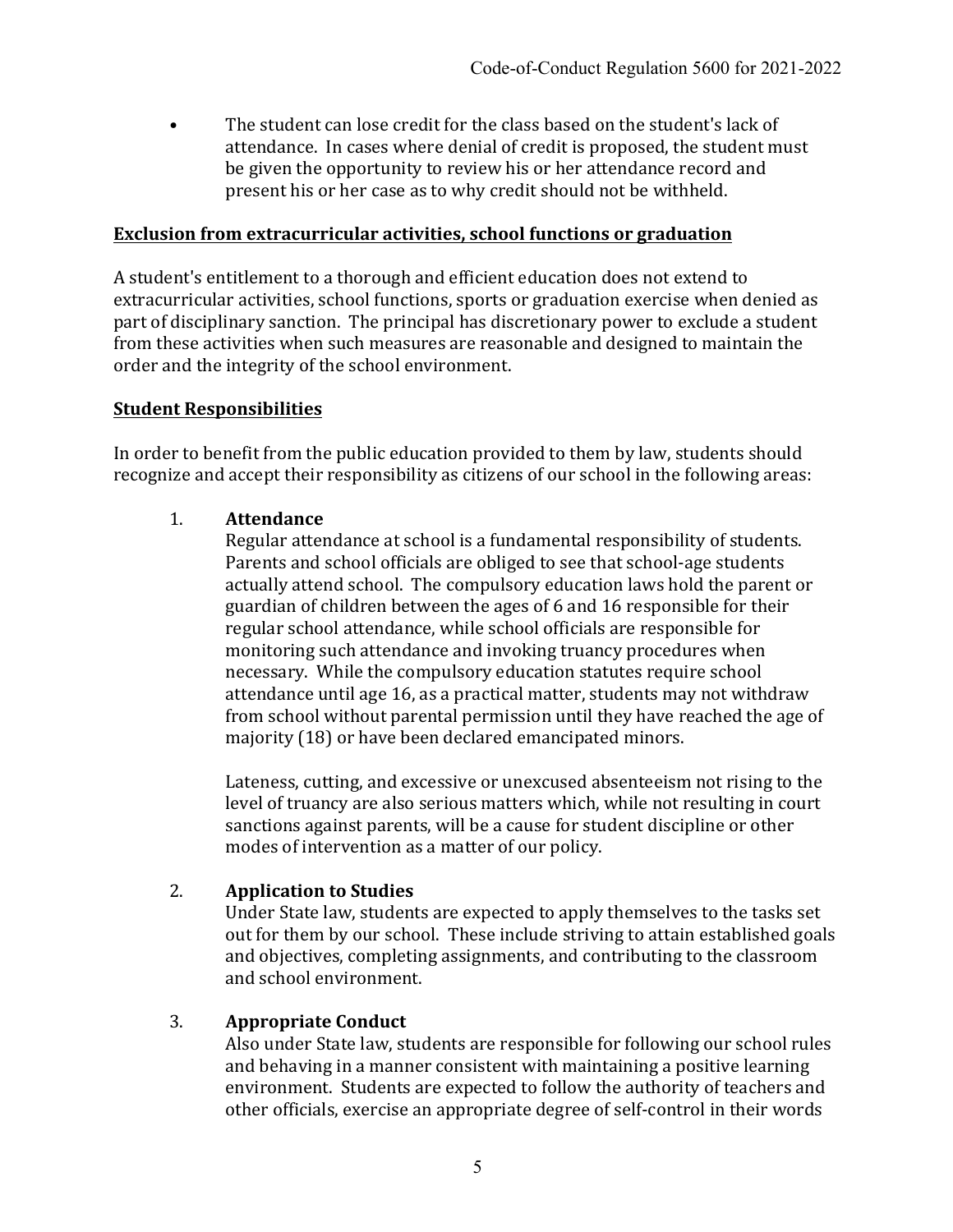The student can lose credit for the class based on the student's lack of attendance. In cases where denial of credit is proposed, the student must be given the opportunity to review his or her attendance record and present his or her case as to why credit should not be withheld.

#### **Exclusion from extracurricular activities, school functions or graduation**

A student's entitlement to a thorough and efficient education does not extend to extracurricular activities, school functions, sports or graduation exercise when denied as part of disciplinary sanction. The principal has discretionary power to exclude a student from these activities when such measures are reasonable and designed to maintain the order and the integrity of the school environment.

#### **Student Responsibilities**

In order to benefit from the public education provided to them by law, students should recognize and accept their responsibility as citizens of our school in the following areas:

#### 1. **Attendance**

Regular attendance at school is a fundamental responsibility of students. Parents and school officials are obliged to see that school-age students actually attend school. The compulsory education laws hold the parent or guardian of children between the ages of 6 and 16 responsible for their regular school attendance, while school officials are responsible for monitoring such attendance and invoking truancy procedures when necessary. While the compulsory education statutes require school attendance until age 16, as a practical matter, students may not withdraw from school without parental permission until they have reached the age of majority (18) or have been declared emancipated minors.

Lateness, cutting, and excessive or unexcused absenteeism not rising to the level of truancy are also serious matters which, while not resulting in court sanctions against parents, will be a cause for student discipline or other modes of intervention as a matter of our policy.

#### 2. **Application to Studies**

Under State law, students are expected to apply themselves to the tasks set out for them by our school. These include striving to attain established goals and objectives, completing assignments, and contributing to the classroom and school environment.

#### 3. **Appropriate Conduct**

Also under State law, students are responsible for following our school rules and behaving in a manner consistent with maintaining a positive learning environment. Students are expected to follow the authority of teachers and other officials, exercise an appropriate degree of self-control in their words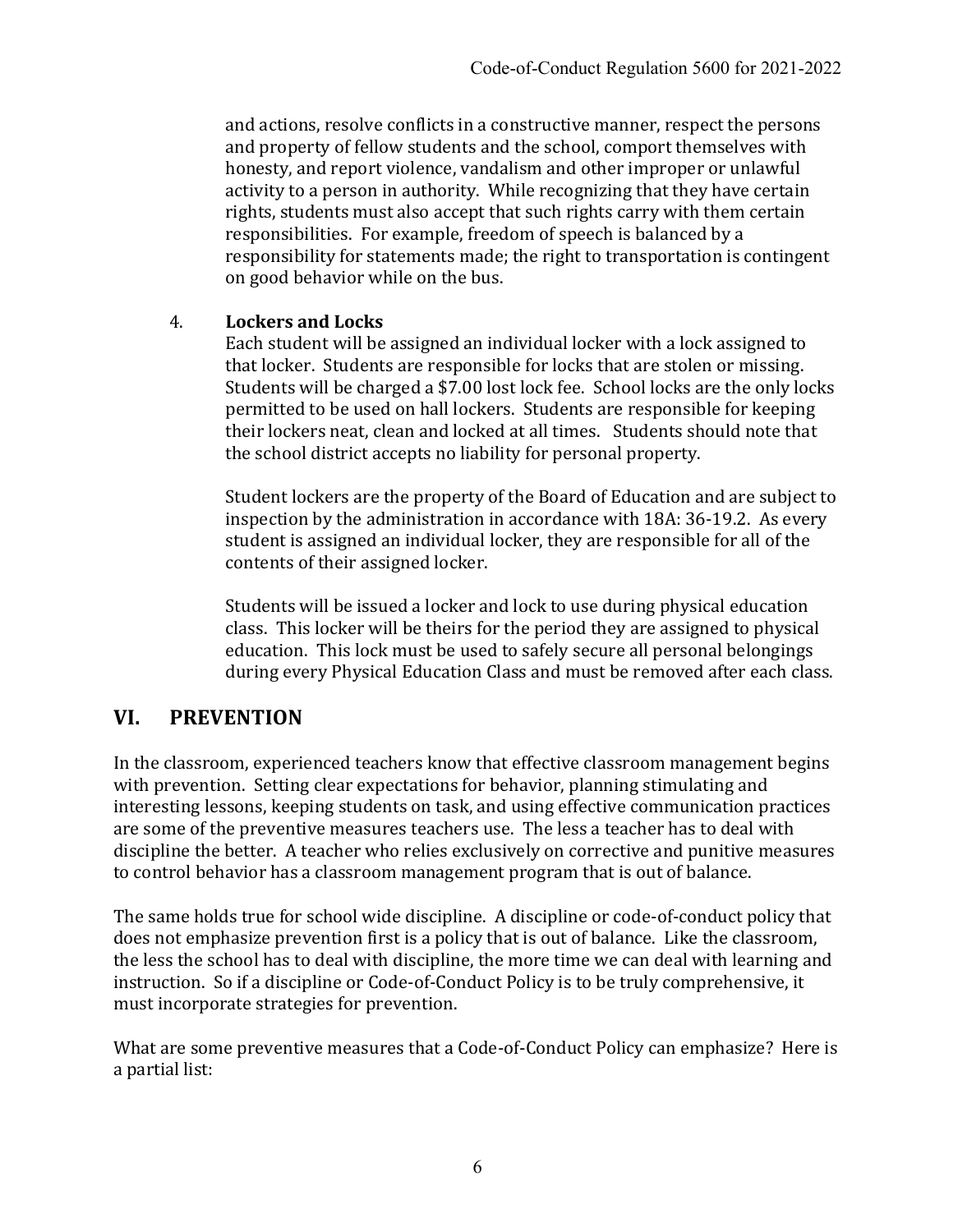and actions, resolve conflicts in a constructive manner, respect the persons and property of fellow students and the school, comport themselves with honesty, and report violence, vandalism and other improper or unlawful activity to a person in authority. While recognizing that they have certain rights, students must also accept that such rights carry with them certain responsibilities. For example, freedom of speech is balanced by a responsibility for statements made; the right to transportation is contingent on good behavior while on the bus.

#### 4. **Lockers and Locks**

Each student will be assigned an individual locker with a lock assigned to that locker. Students are responsible for locks that are stolen or missing. Students will be charged a \$7.00 lost lock fee. School locks are the only locks permitted to be used on hall lockers. Students are responsible for keeping their lockers neat, clean and locked at all times. Students should note that the school district accepts no liability for personal property.

Student lockers are the property of the Board of Education and are subject to inspection by the administration in accordance with 18A: 36-19.2. As every student is assigned an individual locker, they are responsible for all of the contents of their assigned locker.

Students will be issued a locker and lock to use during physical education class. This locker will be theirs for the period they are assigned to physical education. This lock must be used to safely secure all personal belongings during every Physical Education Class and must be removed after each class.

# **VI. PREVENTION**

In the classroom, experienced teachers know that effective classroom management begins with prevention. Setting clear expectations for behavior, planning stimulating and interesting lessons, keeping students on task, and using effective communication practices are some of the preventive measures teachers use. The less a teacher has to deal with discipline the better. A teacher who relies exclusively on corrective and punitive measures to control behavior has a classroom management program that is out of balance.

The same holds true for school wide discipline. A discipline or code-of-conduct policy that does not emphasize prevention first is a policy that is out of balance. Like the classroom, the less the school has to deal with discipline, the more time we can deal with learning and instruction. So if a discipline or Code-of-Conduct Policy is to be truly comprehensive, it must incorporate strategies for prevention.

What are some preventive measures that a Code-of-Conduct Policy can emphasize? Here is a partial list: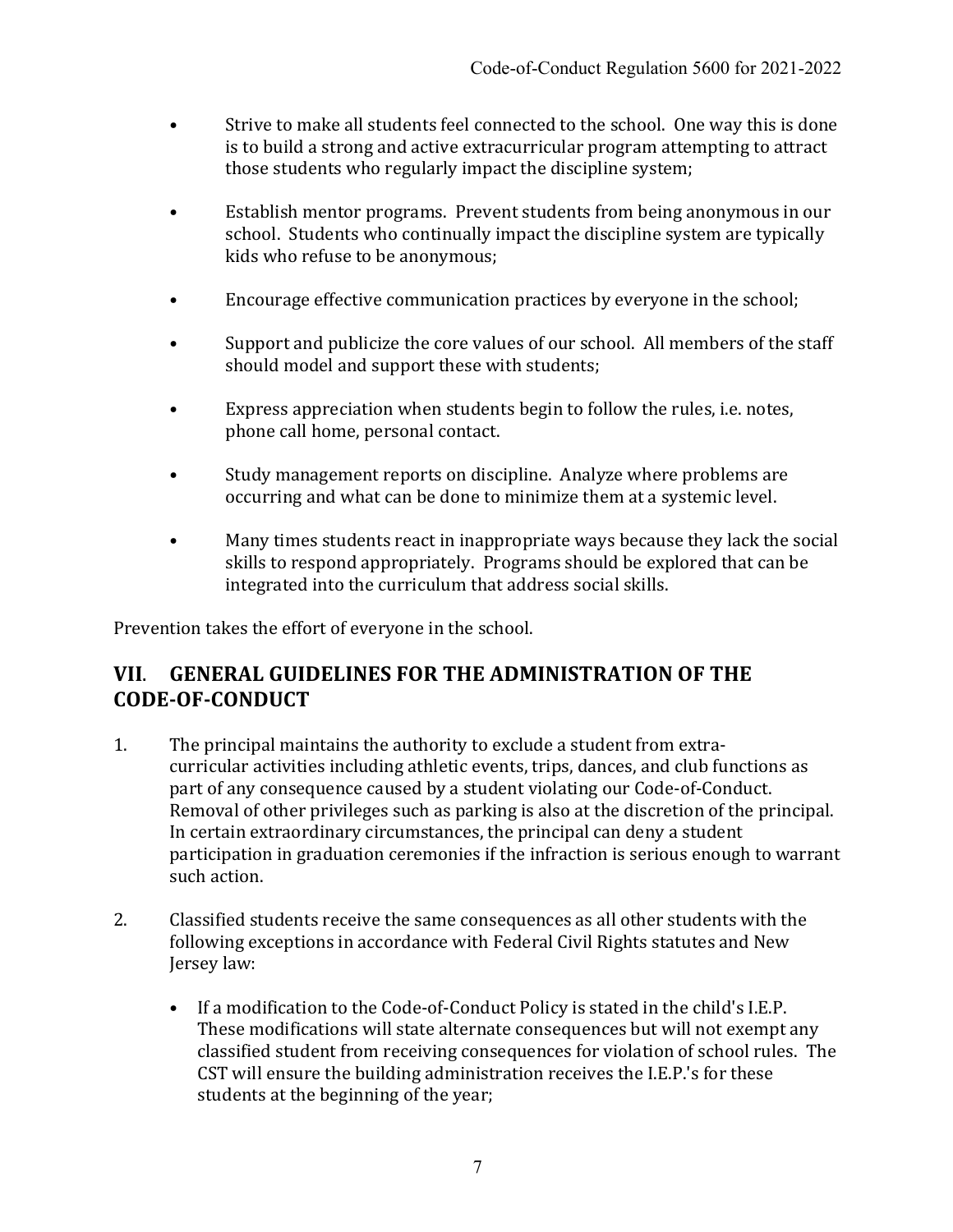- Strive to make all students feel connected to the school. One way this is done is to build a strong and active extracurricular program attempting to attract those students who regularly impact the discipline system;
- Establish mentor programs. Prevent students from being anonymous in our school. Students who continually impact the discipline system are typically kids who refuse to be anonymous;
- Encourage effective communication practices by everyone in the school;
- Support and publicize the core values of our school. All members of the staff should model and support these with students;
- Express appreciation when students begin to follow the rules, i.e. notes, phone call home, personal contact.
- Study management reports on discipline. Analyze where problems are occurring and what can be done to minimize them at a systemic level.
- Many times students react in inappropriate ways because they lack the social skills to respond appropriately. Programs should be explored that can be integrated into the curriculum that address social skills.

Prevention takes the effort of everyone in the school.

# **VII**. **GENERAL GUIDELINES FOR THE ADMINISTRATION OF THE CODE-OF-CONDUCT**

- 1. The principal maintains the authority to exclude a student from extracurricular activities including athletic events, trips, dances, and club functions as part of any consequence caused by a student violating our Code-of-Conduct. Removal of other privileges such as parking is also at the discretion of the principal. In certain extraordinary circumstances, the principal can deny a student participation in graduation ceremonies if the infraction is serious enough to warrant such action.
- 2. Classified students receive the same consequences as all other students with the following exceptions in accordance with Federal Civil Rights statutes and New Jersey law:
	- If a modification to the Code-of-Conduct Policy is stated in the child's I.E.P. These modifications will state alternate consequences but will not exempt any classified student from receiving consequences for violation of school rules. The CST will ensure the building administration receives the I.E.P.'s for these students at the beginning of the year;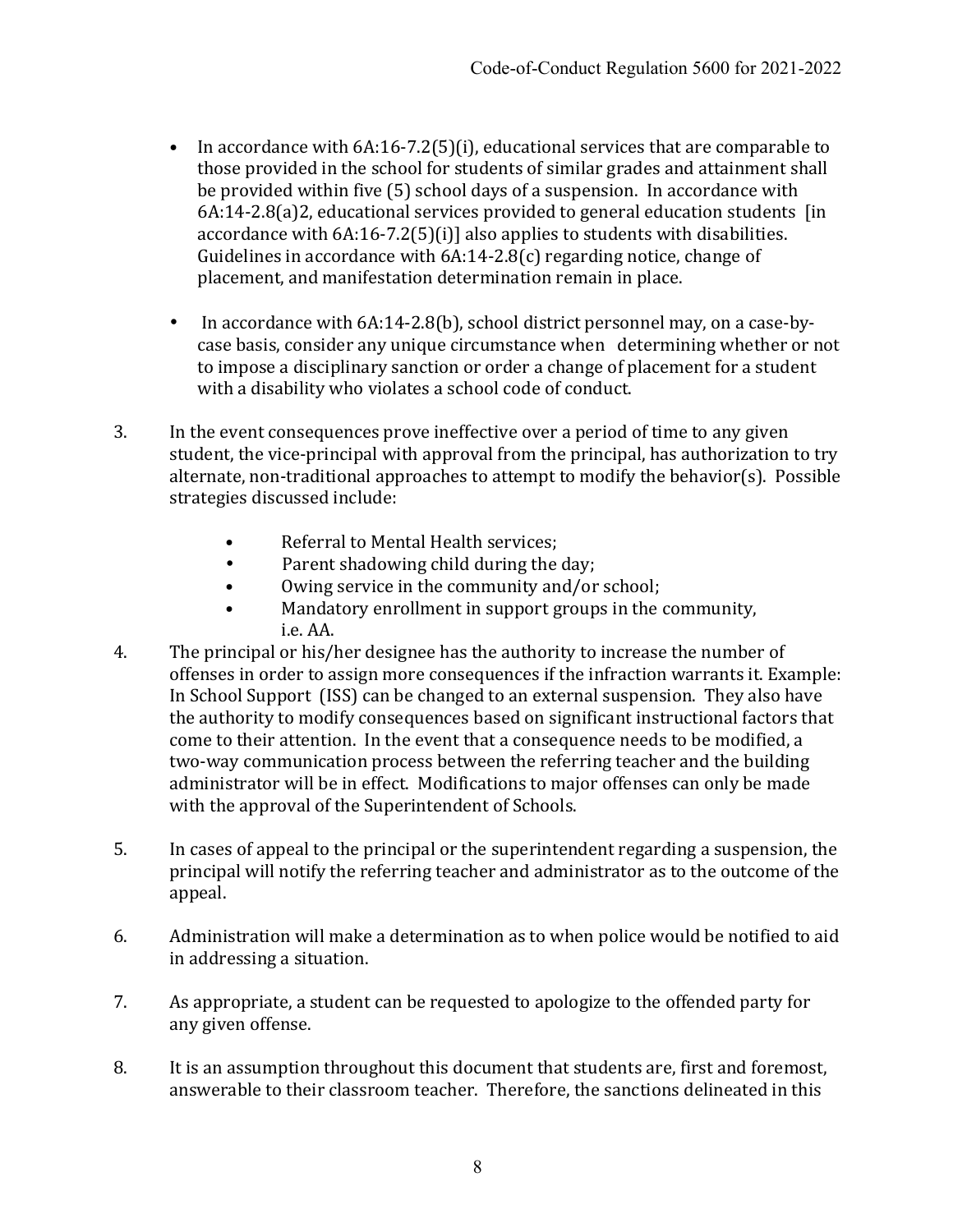- In accordance with  $6A:16-7.2(5)(i)$ , educational services that are comparable to those provided in the school for students of similar grades and attainment shall be provided within five (5) school days of a suspension. In accordance with  $6A:14-2.8(a)2$ , educational services provided to general education students [in] accordance with  $6A:16-7.2(5)(i)$ ] also applies to students with disabilities. Guidelines in accordance with  $6A:14-2.8(c)$  regarding notice, change of placement, and manifestation determination remain in place.
- In accordance with 6A:14-2.8(b), school district personnel may, on a case-bycase basis, consider any unique circumstance when determining whether or not to impose a disciplinary sanction or order a change of placement for a student with a disability who violates a school code of conduct.
- 3. In the event consequences prove ineffective over a period of time to any given student, the vice-principal with approval from the principal, has authorization to try alternate, non-traditional approaches to attempt to modify the behavior(s). Possible strategies discussed include:
	- Referral to Mental Health services;
	- Parent shadowing child during the day;
	- Owing service in the community and/or school;
	- Mandatory enrollment in support groups in the community, i.e. AA.
- 4. The principal or his/her designee has the authority to increase the number of offenses in order to assign more consequences if the infraction warrants it. Example: In School Support (ISS) can be changed to an external suspension. They also have the authority to modify consequences based on significant instructional factors that come to their attention. In the event that a consequence needs to be modified, a two-way communication process between the referring teacher and the building administrator will be in effect. Modifications to major offenses can only be made with the approval of the Superintendent of Schools.
- 5. In cases of appeal to the principal or the superintendent regarding a suspension, the principal will notify the referring teacher and administrator as to the outcome of the appeal.
- 6. Administration will make a determination as to when police would be notified to aid in addressing a situation.
- 7. As appropriate, a student can be requested to apologize to the offended party for any given offense.
- 8. It is an assumption throughout this document that students are, first and foremost, answerable to their classroom teacher. Therefore, the sanctions delineated in this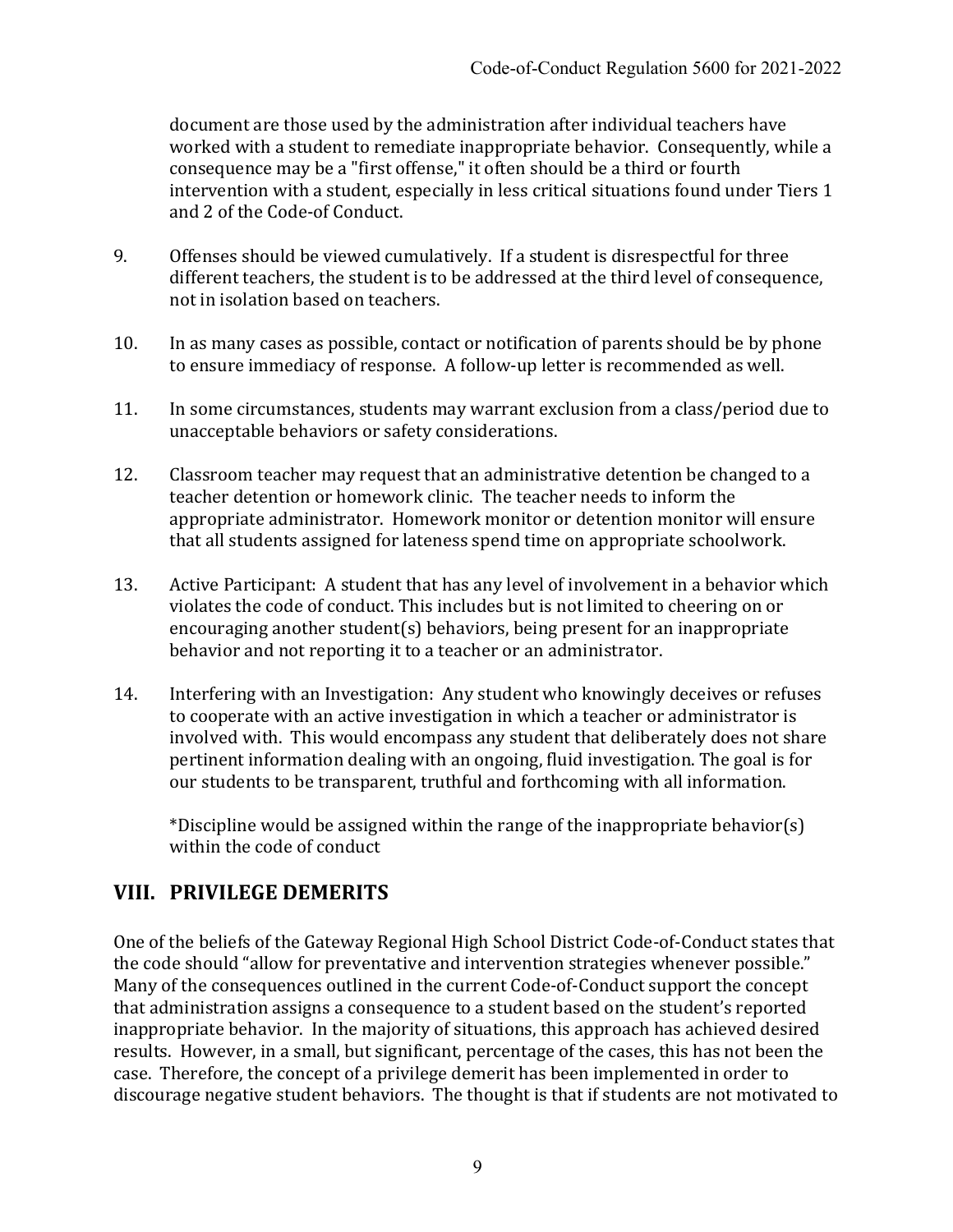document are those used by the administration after individual teachers have worked with a student to remediate inappropriate behavior. Consequently, while a consequence may be a "first offense," it often should be a third or fourth intervention with a student, especially in less critical situations found under Tiers 1 and 2 of the Code-of Conduct.

- 9. Offenses should be viewed cumulatively. If a student is disrespectful for three different teachers, the student is to be addressed at the third level of consequence, not in isolation based on teachers.
- 10. In as many cases as possible, contact or notification of parents should be by phone to ensure immediacy of response. A follow-up letter is recommended as well.
- 11. In some circumstances, students may warrant exclusion from a class/period due to unacceptable behaviors or safety considerations.
- 12. Classroom teacher may request that an administrative detention be changed to a teacher detention or homework clinic. The teacher needs to inform the appropriate administrator. Homework monitor or detention monitor will ensure that all students assigned for lateness spend time on appropriate schoolwork.
- 13. Active Participant: A student that has any level of involvement in a behavior which violates the code of conduct. This includes but is not limited to cheering on or encouraging another student(s) behaviors, being present for an inappropriate behavior and not reporting it to a teacher or an administrator.
- 14. Interfering with an Investigation: Any student who knowingly deceives or refuses to cooperate with an active investigation in which a teacher or administrator is involved with. This would encompass any student that deliberately does not share pertinent information dealing with an ongoing, fluid investigation. The goal is for our students to be transparent, truthful and forthcoming with all information.

\*Discipline would be assigned within the range of the inappropriate behavior(s) within the code of conduct

# **VIII. PRIVILEGE DEMERITS**

One of the beliefs of the Gateway Regional High School District Code-of-Conduct states that the code should "allow for preventative and intervention strategies whenever possible." Many of the consequences outlined in the current Code-of-Conduct support the concept that administration assigns a consequence to a student based on the student's reported inappropriate behavior. In the majority of situations, this approach has achieved desired results. However, in a small, but significant, percentage of the cases, this has not been the case. Therefore, the concept of a privilege demerit has been implemented in order to discourage negative student behaviors. The thought is that if students are not motivated to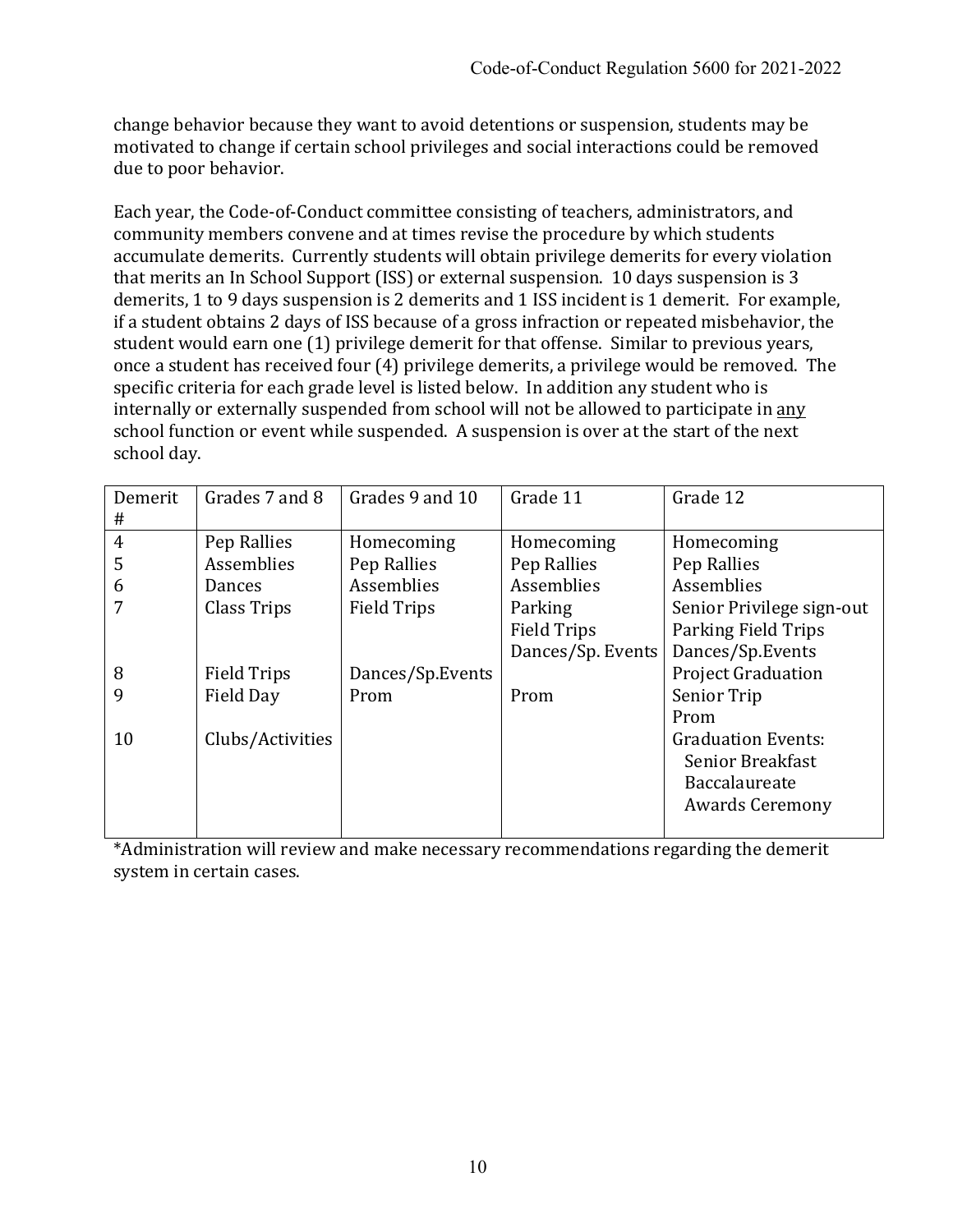change behavior because they want to avoid detentions or suspension, students may be motivated to change if certain school privileges and social interactions could be removed due to poor behavior.

Each year, the Code-of-Conduct committee consisting of teachers, administrators, and community members convene and at times revise the procedure by which students accumulate demerits. Currently students will obtain privilege demerits for every violation that merits an In School Support (ISS) or external suspension. 10 days suspension is 3 demerits, 1 to 9 days suspension is 2 demerits and 1 ISS incident is 1 demerit. For example, if a student obtains 2 days of ISS because of a gross infraction or repeated misbehavior, the student would earn one (1) privilege demerit for that offense. Similar to previous years, once a student has received four (4) privilege demerits, a privilege would be removed. The specific criteria for each grade level is listed below. In addition any student who is internally or externally suspended from school will not be allowed to participate in any school function or event while suspended. A suspension is over at the start of the next school day.

| Demerit        | Grades 7 and 8     | Grades 9 and 10    | Grade 11           | Grade 12                  |
|----------------|--------------------|--------------------|--------------------|---------------------------|
| #              |                    |                    |                    |                           |
| $\overline{4}$ | Pep Rallies        | Homecoming         | Homecoming         | Homecoming                |
| 5              | Assemblies         | Pep Rallies        | Pep Rallies        | Pep Rallies               |
| 6              | Dances             | Assemblies         | Assemblies         | Assemblies                |
|                | Class Trips        | <b>Field Trips</b> | Parking            | Senior Privilege sign-out |
|                |                    |                    | <b>Field Trips</b> | Parking Field Trips       |
|                |                    |                    | Dances/Sp. Events  | Dances/Sp.Events          |
| 8              | <b>Field Trips</b> | Dances/Sp.Events   |                    | <b>Project Graduation</b> |
| 9              | Field Day          | Prom               | Prom               | Senior Trip               |
|                |                    |                    |                    | Prom                      |
| 10             | Clubs/Activities   |                    |                    | <b>Graduation Events:</b> |
|                |                    |                    |                    | Senior Breakfast          |
|                |                    |                    |                    | Baccalaureate             |
|                |                    |                    |                    | <b>Awards Ceremony</b>    |
|                |                    |                    |                    |                           |

\*Administration will review and make necessary recommendations regarding the demerit system in certain cases.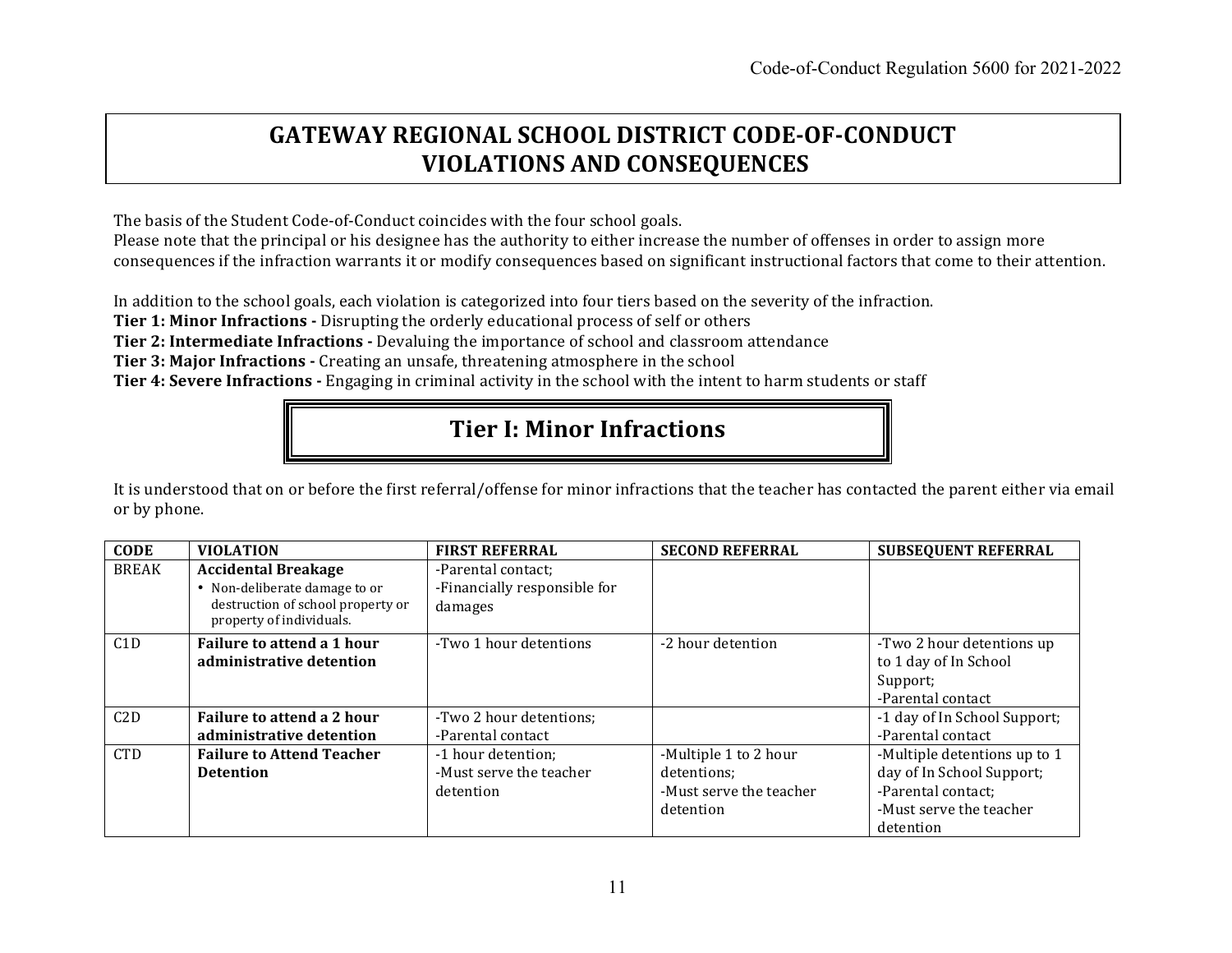# **GATEWAY REGIONAL SCHOOL DISTRICT CODE-OF-CONDUCT VIOLATIONS AND CONSEQUENCES**

The basis of the Student Code-of-Conduct coincides with the four school goals.

Please note that the principal or his designee has the authority to either increase the number of offenses in order to assign more consequences if the infraction warrants it or modify consequences based on significant instructional factors that come to their attention.

In addition to the school goals, each violation is categorized into four tiers based on the severity of the infraction.

**Tier 1: Minor Infractions** - Disrupting the orderly educational process of self or others

**Tier 2: Intermediate Infractions -** Devaluing the importance of school and classroom attendance

**Tier 3: Major Infractions** - Creating an unsafe, threatening atmosphere in the school

**Tier 4: Severe Infractions** - Engaging in criminal activity in the school with the intent to harm students or staff

# **Tier I: Minor Infractions**

It is understood that on or before the first referral/offense for minor infractions that the teacher has contacted the parent either via email or by phone.

| <b>CODE</b>  | <b>VIOLATION</b>                                                                                                             | <b>FIRST REFERRAL</b>                                         | <b>SECOND REFERRAL</b>                                                       | <b>SUBSEQUENT REFERRAL</b>                                                                                              |
|--------------|------------------------------------------------------------------------------------------------------------------------------|---------------------------------------------------------------|------------------------------------------------------------------------------|-------------------------------------------------------------------------------------------------------------------------|
| <b>BREAK</b> | <b>Accidental Breakage</b><br>• Non-deliberate damage to or<br>destruction of school property or<br>property of individuals. | -Parental contact;<br>-Financially responsible for<br>damages |                                                                              |                                                                                                                         |
| C1D          | Failure to attend a 1 hour<br>administrative detention                                                                       | -Two 1 hour detentions                                        | -2 hour detention                                                            | -Two 2 hour detentions up<br>to 1 day of In School<br>Support;<br>-Parental contact                                     |
| C2D          | Failure to attend a 2 hour<br>administrative detention                                                                       | -Two 2 hour detentions;<br>-Parental contact                  |                                                                              | -1 day of In School Support;<br>-Parental contact                                                                       |
| <b>CTD</b>   | <b>Failure to Attend Teacher</b><br><b>Detention</b>                                                                         | -1 hour detention;<br>-Must serve the teacher<br>detention    | -Multiple 1 to 2 hour<br>detentions:<br>-Must serve the teacher<br>detention | -Multiple detentions up to 1<br>day of In School Support;<br>-Parental contact;<br>-Must serve the teacher<br>detention |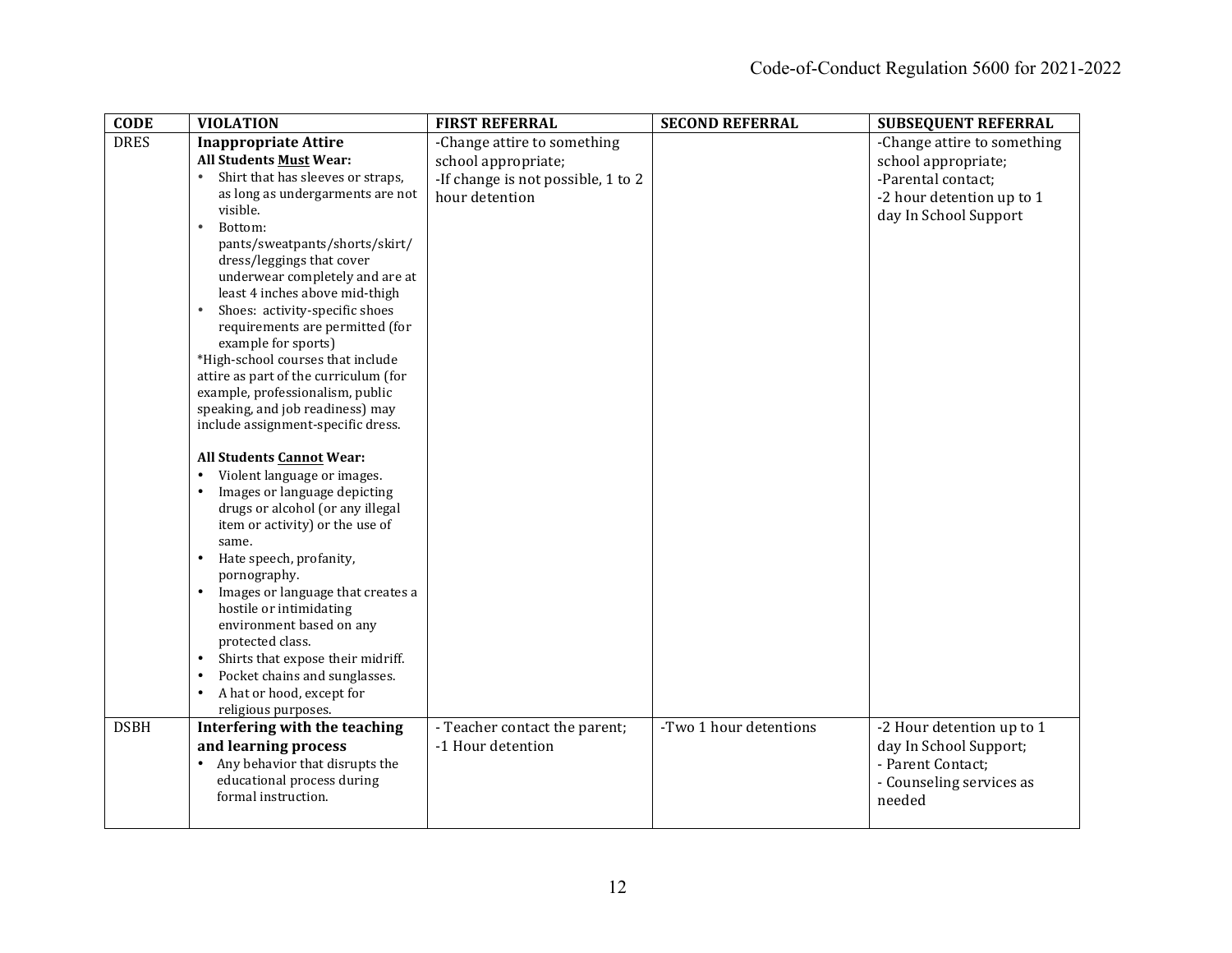| <b>CODE</b> | <b>VIOLATION</b>                                                  | <b>FIRST REFERRAL</b>              | <b>SECOND REFERRAL</b> | <b>SUBSEQUENT REFERRAL</b>  |
|-------------|-------------------------------------------------------------------|------------------------------------|------------------------|-----------------------------|
| <b>DRES</b> | <b>Inappropriate Attire</b>                                       | -Change attire to something        |                        | -Change attire to something |
|             | <b>All Students Must Wear:</b>                                    | school appropriate;                |                        | school appropriate;         |
|             | Shirt that has sleeves or straps,<br>$\bullet$                    | -If change is not possible, 1 to 2 |                        | -Parental contact;          |
|             | as long as undergarments are not                                  | hour detention                     |                        | -2 hour detention up to 1   |
|             | visible.                                                          |                                    |                        | day In School Support       |
|             | Bottom:<br>$\bullet$                                              |                                    |                        |                             |
|             | pants/sweatpants/shorts/skirt/                                    |                                    |                        |                             |
|             | dress/leggings that cover                                         |                                    |                        |                             |
|             | underwear completely and are at                                   |                                    |                        |                             |
|             | least 4 inches above mid-thigh                                    |                                    |                        |                             |
|             | Shoes: activity-specific shoes<br>requirements are permitted (for |                                    |                        |                             |
|             | example for sports)                                               |                                    |                        |                             |
|             | *High-school courses that include                                 |                                    |                        |                             |
|             | attire as part of the curriculum (for                             |                                    |                        |                             |
|             | example, professionalism, public                                  |                                    |                        |                             |
|             | speaking, and job readiness) may                                  |                                    |                        |                             |
|             | include assignment-specific dress.                                |                                    |                        |                             |
|             |                                                                   |                                    |                        |                             |
|             | <b>All Students Cannot Wear:</b>                                  |                                    |                        |                             |
|             | Violent language or images.<br>$\bullet$                          |                                    |                        |                             |
|             | Images or language depicting<br>$\bullet$                         |                                    |                        |                             |
|             | drugs or alcohol (or any illegal                                  |                                    |                        |                             |
|             | item or activity) or the use of                                   |                                    |                        |                             |
|             | same.                                                             |                                    |                        |                             |
|             | Hate speech, profanity,                                           |                                    |                        |                             |
|             | pornography.<br>Images or language that creates a<br>$\bullet$    |                                    |                        |                             |
|             | hostile or intimidating                                           |                                    |                        |                             |
|             | environment based on any                                          |                                    |                        |                             |
|             | protected class.                                                  |                                    |                        |                             |
|             | Shirts that expose their midriff.<br>$\bullet$                    |                                    |                        |                             |
|             | Pocket chains and sunglasses.<br>$\bullet$                        |                                    |                        |                             |
|             | A hat or hood, except for<br>$\bullet$                            |                                    |                        |                             |
|             | religious purposes.                                               |                                    |                        |                             |
| <b>DSBH</b> | Interfering with the teaching                                     | - Teacher contact the parent;      | -Two 1 hour detentions | -2 Hour detention up to 1   |
|             | and learning process                                              | -1 Hour detention                  |                        | day In School Support;      |
|             | Any behavior that disrupts the<br>$\bullet$                       |                                    |                        | - Parent Contact;           |
|             | educational process during                                        |                                    |                        | - Counseling services as    |
|             | formal instruction.                                               |                                    |                        | needed                      |
|             |                                                                   |                                    |                        |                             |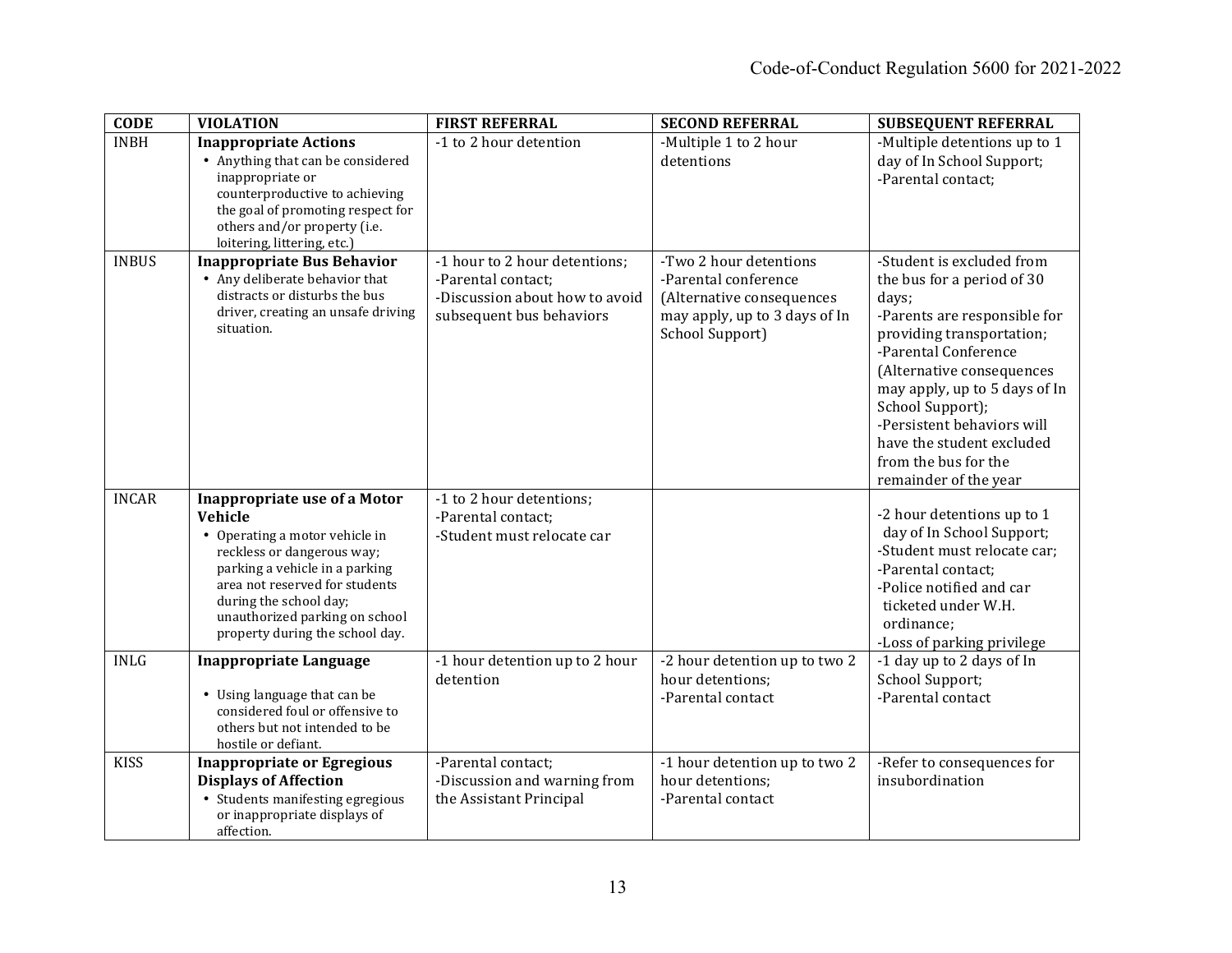| <b>CODE</b>  | <b>VIOLATION</b>                                                                                                                                                                                                                                                                  | <b>FIRST REFERRAL</b>                                                                                             | <b>SECOND REFERRAL</b>                                                                                                          | <b>SUBSEQUENT REFERRAL</b>                                                                                                                                                                                                                                                                                                                          |
|--------------|-----------------------------------------------------------------------------------------------------------------------------------------------------------------------------------------------------------------------------------------------------------------------------------|-------------------------------------------------------------------------------------------------------------------|---------------------------------------------------------------------------------------------------------------------------------|-----------------------------------------------------------------------------------------------------------------------------------------------------------------------------------------------------------------------------------------------------------------------------------------------------------------------------------------------------|
| <b>INBH</b>  | <b>Inappropriate Actions</b><br>• Anything that can be considered<br>inappropriate or<br>counterproductive to achieving<br>the goal of promoting respect for<br>others and/or property (i.e.<br>loitering, littering, etc.)                                                       | -1 to 2 hour detention                                                                                            | -Multiple 1 to 2 hour<br>detentions                                                                                             | -Multiple detentions up to 1<br>day of In School Support;<br>-Parental contact;                                                                                                                                                                                                                                                                     |
| <b>INBUS</b> | <b>Inappropriate Bus Behavior</b><br>• Any deliberate behavior that<br>distracts or disturbs the bus<br>driver, creating an unsafe driving<br>situation.                                                                                                                          | -1 hour to 2 hour detentions;<br>-Parental contact;<br>-Discussion about how to avoid<br>subsequent bus behaviors | -Two 2 hour detentions<br>-Parental conference<br>(Alternative consequences<br>may apply, up to 3 days of In<br>School Support) | -Student is excluded from<br>the bus for a period of 30<br>days;<br>-Parents are responsible for<br>providing transportation;<br>-Parental Conference<br>(Alternative consequences<br>may apply, up to 5 days of In<br>School Support);<br>-Persistent behaviors will<br>have the student excluded<br>from the bus for the<br>remainder of the year |
| <b>INCAR</b> | <b>Inappropriate use of a Motor</b><br>Vehicle<br>• Operating a motor vehicle in<br>reckless or dangerous way;<br>parking a vehicle in a parking<br>area not reserved for students<br>during the school day;<br>unauthorized parking on school<br>property during the school day. | -1 to 2 hour detentions;<br>-Parental contact;<br>-Student must relocate car                                      |                                                                                                                                 | -2 hour detentions up to 1<br>day of In School Support;<br>-Student must relocate car;<br>-Parental contact:<br>-Police notified and car<br>ticketed under W.H.<br>ordinance;<br>-Loss of parking privilege                                                                                                                                         |
| <b>INLG</b>  | <b>Inappropriate Language</b><br>• Using language that can be<br>considered foul or offensive to<br>others but not intended to be<br>hostile or defiant.                                                                                                                          | -1 hour detention up to 2 hour<br>detention                                                                       | -2 hour detention up to two 2<br>hour detentions;<br>-Parental contact                                                          | -1 day up to 2 days of In<br>School Support;<br>-Parental contact                                                                                                                                                                                                                                                                                   |
| <b>KISS</b>  | <b>Inappropriate or Egregious</b><br><b>Displays of Affection</b><br>• Students manifesting egregious<br>or inappropriate displays of<br>affection.                                                                                                                               | -Parental contact;<br>-Discussion and warning from<br>the Assistant Principal                                     | -1 hour detention up to two 2<br>hour detentions;<br>-Parental contact                                                          | -Refer to consequences for<br>insubordination                                                                                                                                                                                                                                                                                                       |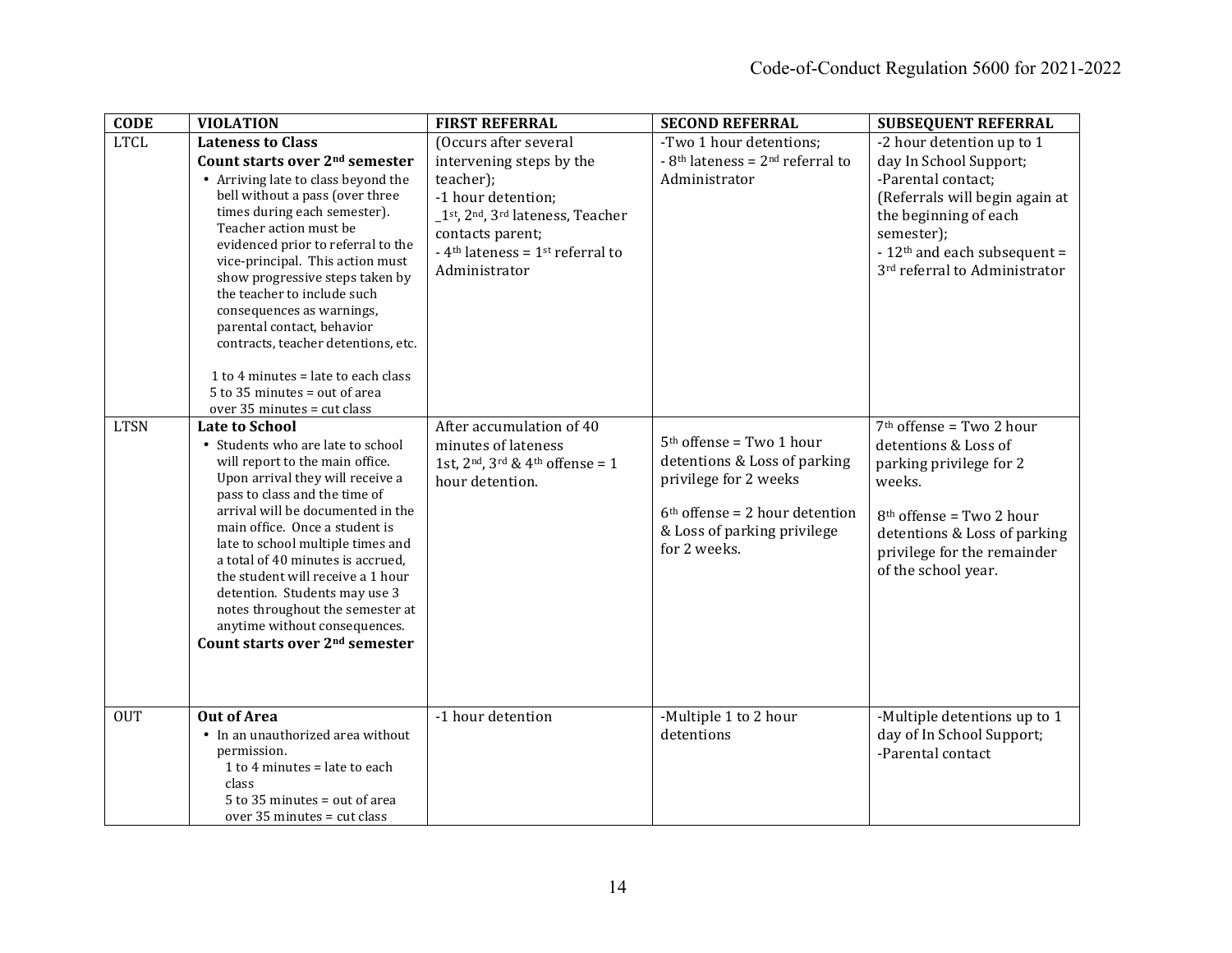| <b>CODE</b> | <b>VIOLATION</b>                                                    | <b>FIRST REFERRAL</b>                                      | <b>SECOND REFERRAL</b>                                    | <b>SUBSEQUENT REFERRAL</b>                |
|-------------|---------------------------------------------------------------------|------------------------------------------------------------|-----------------------------------------------------------|-------------------------------------------|
| <b>LTCL</b> | <b>Lateness to Class</b>                                            | (Occurs after several                                      | -Two 1 hour detentions;                                   | -2 hour detention up to 1                 |
|             | Count starts over 2 <sup>nd</sup> semester                          | intervening steps by the                                   | $-8$ <sup>th</sup> lateness = 2 <sup>nd</sup> referral to | day In School Support;                    |
|             | • Arriving late to class beyond the                                 | teacher);                                                  | Administrator                                             | -Parental contact;                        |
|             | bell without a pass (over three                                     | -1 hour detention;                                         |                                                           | (Referrals will begin again at            |
|             | times during each semester).                                        | _1st, 2nd, 3rd lateness, Teacher                           |                                                           | the beginning of each                     |
|             | Teacher action must be<br>evidenced prior to referral to the        | contacts parent;                                           |                                                           | semester);                                |
|             | vice-principal. This action must                                    | - 4 <sup>th</sup> lateness = $1$ <sup>st</sup> referral to |                                                           | - 12 <sup>th</sup> and each subsequent =  |
|             | show progressive steps taken by                                     | Administrator                                              |                                                           | 3 <sup>rd</sup> referral to Administrator |
|             | the teacher to include such                                         |                                                            |                                                           |                                           |
|             | consequences as warnings,                                           |                                                            |                                                           |                                           |
|             | parental contact, behavior                                          |                                                            |                                                           |                                           |
|             | contracts, teacher detentions, etc.                                 |                                                            |                                                           |                                           |
|             | 1 to 4 minutes = late to each class                                 |                                                            |                                                           |                                           |
|             | $5$ to 35 minutes = out of area                                     |                                                            |                                                           |                                           |
|             | over 35 minutes = cut class                                         |                                                            |                                                           |                                           |
| <b>LTSN</b> | <b>Late to School</b>                                               | After accumulation of 40                                   |                                                           | $7th$ offense = Two 2 hour                |
|             | • Students who are late to school                                   | minutes of lateness                                        | $5th$ offense = Two 1 hour                                | detentions & Loss of                      |
|             | will report to the main office.<br>Upon arrival they will receive a | 1st, $2nd$ , $3rd$ & $4th$ offense = 1                     | detentions & Loss of parking<br>privilege for 2 weeks     | parking privilege for 2                   |
|             | pass to class and the time of                                       | hour detention.                                            |                                                           | weeks.                                    |
|             | arrival will be documented in the                                   |                                                            | $6th$ offense = 2 hour detention                          | $8th$ offense = Two 2 hour                |
|             | main office. Once a student is                                      |                                                            | & Loss of parking privilege                               | detentions & Loss of parking              |
|             | late to school multiple times and                                   |                                                            | for 2 weeks.                                              | privilege for the remainder               |
|             | a total of 40 minutes is accrued,                                   |                                                            |                                                           | of the school year.                       |
|             | the student will receive a 1 hour                                   |                                                            |                                                           |                                           |
|             | detention. Students may use 3<br>notes throughout the semester at   |                                                            |                                                           |                                           |
|             | anytime without consequences.                                       |                                                            |                                                           |                                           |
|             | Count starts over 2 <sup>nd</sup> semester                          |                                                            |                                                           |                                           |
|             |                                                                     |                                                            |                                                           |                                           |
|             |                                                                     |                                                            |                                                           |                                           |
|             |                                                                     |                                                            |                                                           |                                           |
| <b>OUT</b>  | <b>Out of Area</b>                                                  | -1 hour detention                                          | -Multiple 1 to 2 hour                                     | -Multiple detentions up to 1              |
|             | • In an unauthorized area without                                   |                                                            | detentions                                                | day of In School Support;                 |
|             | permission.<br>1 to 4 minutes = late to each                        |                                                            |                                                           | -Parental contact                         |
|             | class                                                               |                                                            |                                                           |                                           |
|             | 5 to 35 minutes = out of area                                       |                                                            |                                                           |                                           |
|             | over 35 minutes = cut class                                         |                                                            |                                                           |                                           |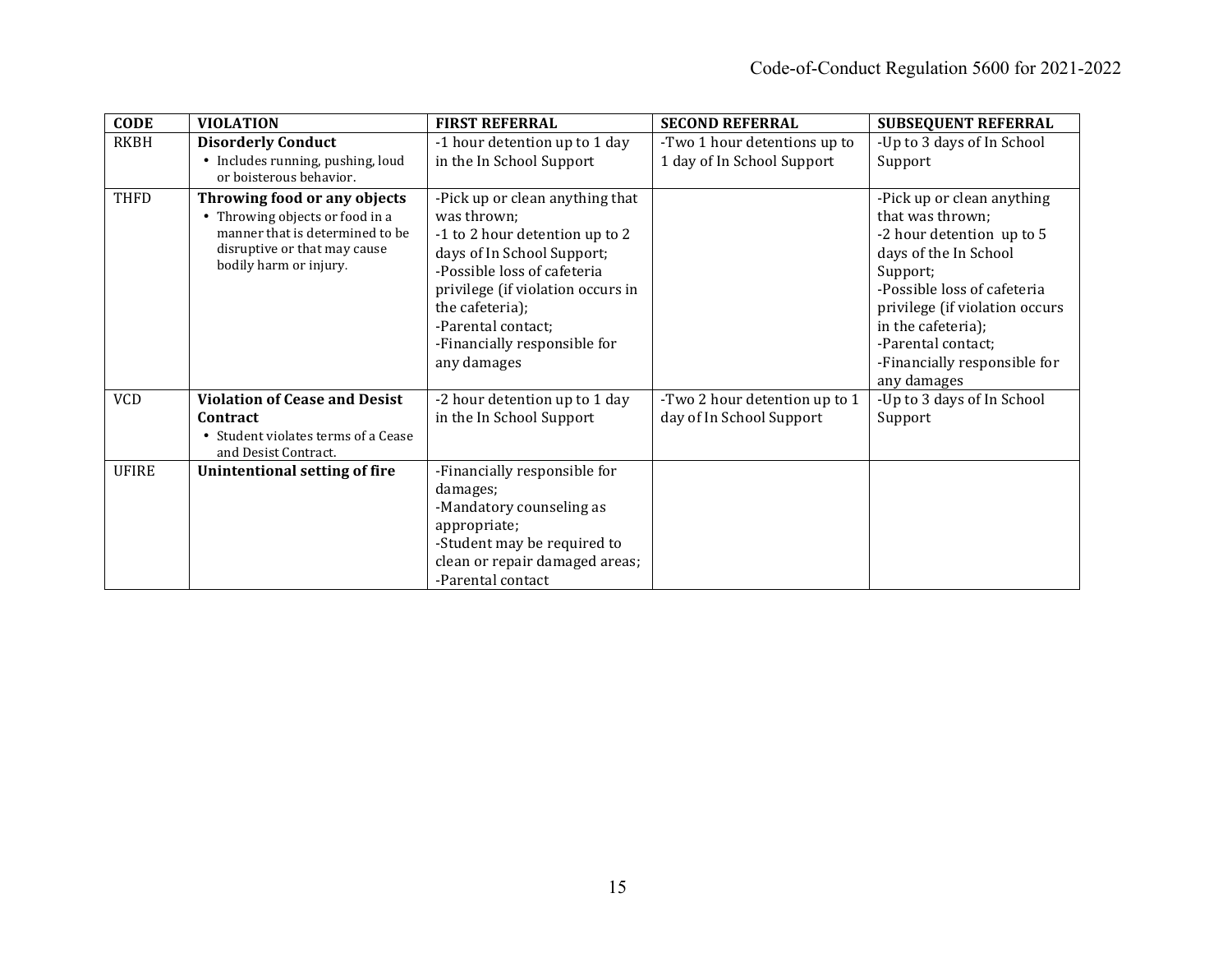| <b>CODE</b>  | <b>VIOLATION</b>                                                                                                                                             | <b>FIRST REFERRAL</b>                                                                                                                                                                                                                                                      | <b>SECOND REFERRAL</b>                                    | <b>SUBSEQUENT REFERRAL</b>                                                                                                                                                                                                                                                   |
|--------------|--------------------------------------------------------------------------------------------------------------------------------------------------------------|----------------------------------------------------------------------------------------------------------------------------------------------------------------------------------------------------------------------------------------------------------------------------|-----------------------------------------------------------|------------------------------------------------------------------------------------------------------------------------------------------------------------------------------------------------------------------------------------------------------------------------------|
| <b>RKBH</b>  | <b>Disorderly Conduct</b>                                                                                                                                    | -1 hour detention up to 1 day                                                                                                                                                                                                                                              | -Two 1 hour detentions up to                              | -Up to 3 days of In School                                                                                                                                                                                                                                                   |
|              | • Includes running, pushing, loud<br>or boisterous behavior.                                                                                                 | in the In School Support                                                                                                                                                                                                                                                   | 1 day of In School Support                                | Support                                                                                                                                                                                                                                                                      |
| THFD         | Throwing food or any objects<br>• Throwing objects or food in a<br>manner that is determined to be<br>disruptive or that may cause<br>bodily harm or injury. | -Pick up or clean anything that<br>was thrown;<br>-1 to 2 hour detention up to 2<br>days of In School Support;<br>-Possible loss of cafeteria<br>privilege (if violation occurs in<br>the cafeteria);<br>-Parental contact;<br>-Financially responsible for<br>any damages |                                                           | -Pick up or clean anything<br>that was thrown;<br>-2 hour detention up to 5<br>days of the In School<br>Support;<br>-Possible loss of cafeteria<br>privilege (if violation occurs<br>in the cafeteria);<br>-Parental contact;<br>-Financially responsible for<br>any damages |
| <b>VCD</b>   | <b>Violation of Cease and Desist</b><br>Contract<br>• Student violates terms of a Cease<br>and Desist Contract.                                              | -2 hour detention up to 1 day<br>in the In School Support                                                                                                                                                                                                                  | -Two 2 hour detention up to 1<br>day of In School Support | -Up to 3 days of In School<br>Support                                                                                                                                                                                                                                        |
| <b>UFIRE</b> | Unintentional setting of fire                                                                                                                                | -Financially responsible for<br>damages;<br>-Mandatory counseling as<br>appropriate;<br>-Student may be required to<br>clean or repair damaged areas;<br>-Parental contact                                                                                                 |                                                           |                                                                                                                                                                                                                                                                              |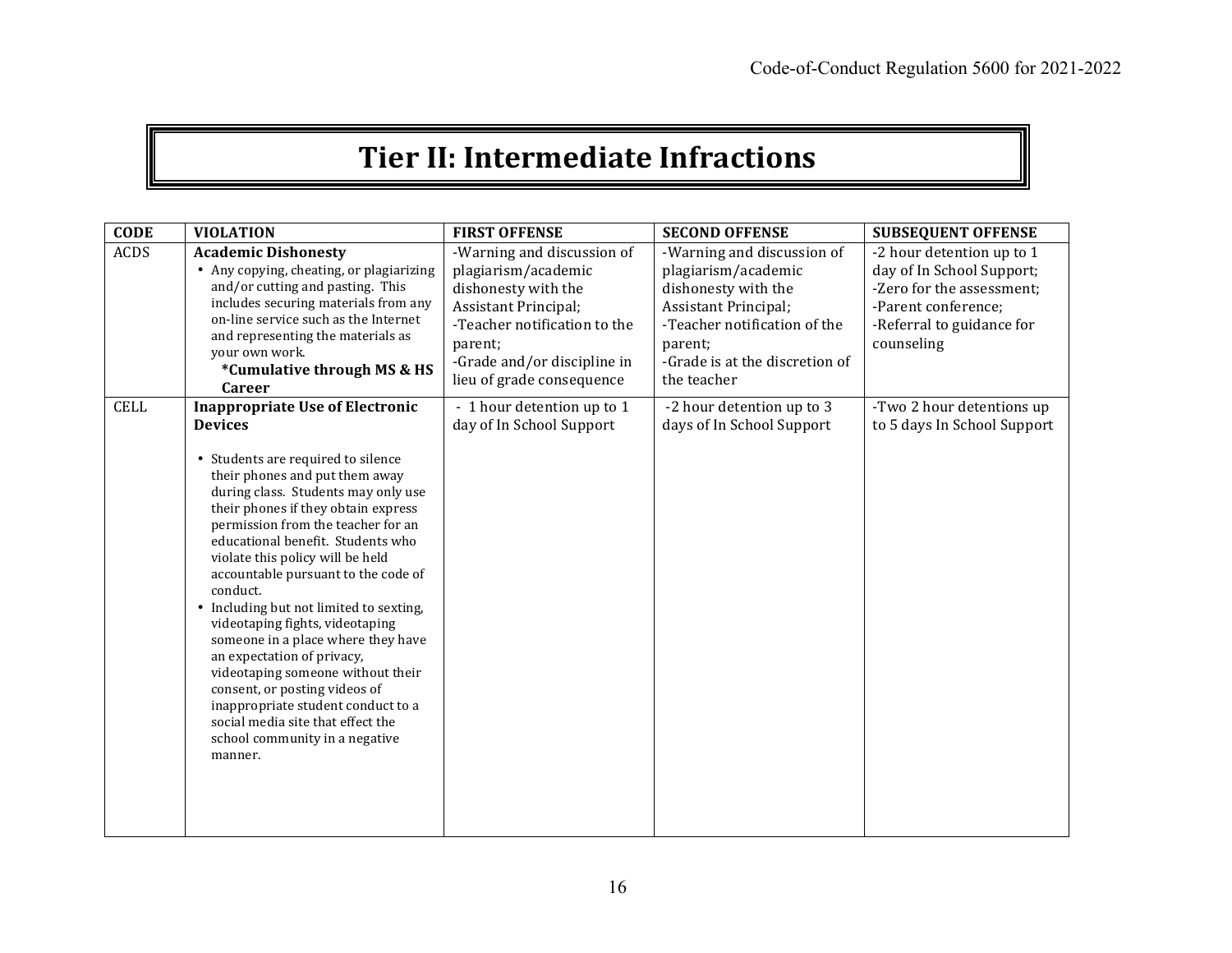# **Tier II: Intermediate Infractions**

| <b>CODE</b> | <b>VIOLATION</b>                                                                                                                                                                                                                                                                                                                                                                                                                                                                                                                                                                                                                                                                                                                    | <b>FIRST OFFENSE</b>                                                                                                                                                                                    | <b>SECOND OFFENSE</b>                                                                                                                                                                        | <b>SUBSEQUENT OFFENSE</b>                                                                                                                             |
|-------------|-------------------------------------------------------------------------------------------------------------------------------------------------------------------------------------------------------------------------------------------------------------------------------------------------------------------------------------------------------------------------------------------------------------------------------------------------------------------------------------------------------------------------------------------------------------------------------------------------------------------------------------------------------------------------------------------------------------------------------------|---------------------------------------------------------------------------------------------------------------------------------------------------------------------------------------------------------|----------------------------------------------------------------------------------------------------------------------------------------------------------------------------------------------|-------------------------------------------------------------------------------------------------------------------------------------------------------|
| <b>ACDS</b> | <b>Academic Dishonesty</b><br>• Any copying, cheating, or plagiarizing<br>and/or cutting and pasting. This<br>includes securing materials from any<br>on-line service such as the Internet<br>and representing the materials as<br>your own work.<br>*Cumulative through MS & HS<br><b>Career</b>                                                                                                                                                                                                                                                                                                                                                                                                                                   | -Warning and discussion of<br>plagiarism/academic<br>dishonesty with the<br>Assistant Principal;<br>-Teacher notification to the<br>parent;<br>-Grade and/or discipline in<br>lieu of grade consequence | -Warning and discussion of<br>plagiarism/academic<br>dishonesty with the<br>Assistant Principal;<br>-Teacher notification of the<br>parent:<br>-Grade is at the discretion of<br>the teacher | -2 hour detention up to 1<br>day of In School Support;<br>-Zero for the assessment:<br>-Parent conference;<br>-Referral to guidance for<br>counseling |
| <b>CELL</b> | <b>Inappropriate Use of Electronic</b><br><b>Devices</b><br>Students are required to silence<br>٠<br>their phones and put them away<br>during class. Students may only use<br>their phones if they obtain express<br>permission from the teacher for an<br>educational benefit. Students who<br>violate this policy will be held<br>accountable pursuant to the code of<br>conduct.<br>• Including but not limited to sexting,<br>videotaping fights, videotaping<br>someone in a place where they have<br>an expectation of privacy,<br>videotaping someone without their<br>consent, or posting videos of<br>inappropriate student conduct to a<br>social media site that effect the<br>school community in a negative<br>manner. | - 1 hour detention up to 1<br>day of In School Support                                                                                                                                                  | -2 hour detention up to 3<br>days of In School Support                                                                                                                                       | -Two 2 hour detentions up<br>to 5 days In School Support                                                                                              |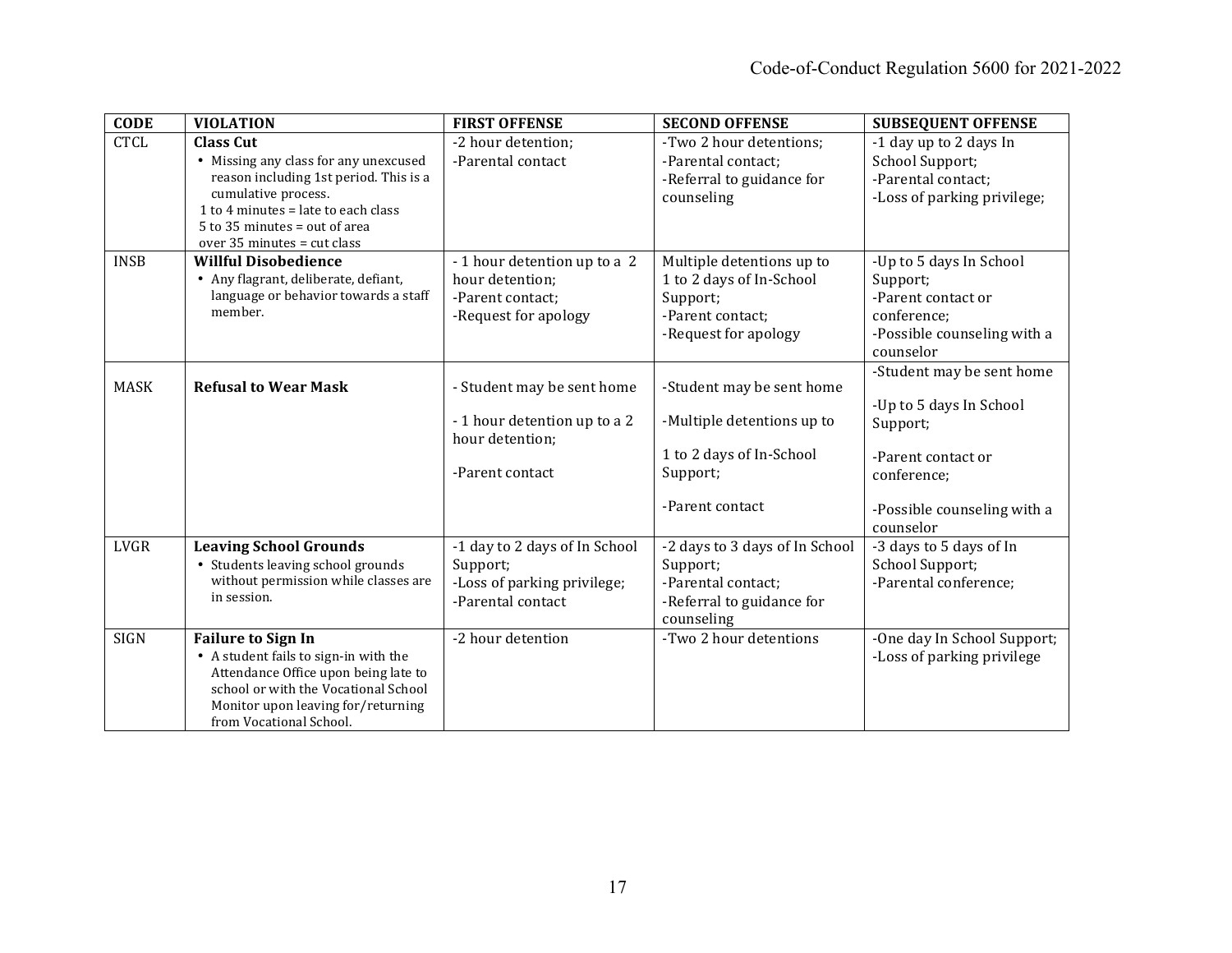| <b>CODE</b> | <b>VIOLATION</b>                                                              | <b>FIRST OFFENSE</b>          | <b>SECOND OFFENSE</b>          | <b>SUBSEQUENT OFFENSE</b>   |
|-------------|-------------------------------------------------------------------------------|-------------------------------|--------------------------------|-----------------------------|
| <b>CTCL</b> | <b>Class Cut</b>                                                              | -2 hour detention;            | -Two 2 hour detentions;        | -1 day up to 2 days In      |
|             | • Missing any class for any unexcused                                         | -Parental contact             | -Parental contact;             | School Support;             |
|             | reason including 1st period. This is a                                        |                               | -Referral to guidance for      | -Parental contact;          |
|             | cumulative process.<br>1 to 4 minutes = late to each class                    |                               | counseling                     | -Loss of parking privilege; |
|             | $5$ to 35 minutes = out of area                                               |                               |                                |                             |
|             | over $35$ minutes = cut class                                                 |                               |                                |                             |
| <b>INSB</b> | <b>Willful Disobedience</b>                                                   | - 1 hour detention up to a 2  | Multiple detentions up to      | -Up to 5 days In School     |
|             | • Any flagrant, deliberate, defiant,                                          | hour detention;               | 1 to 2 days of In-School       | Support;                    |
|             | language or behavior towards a staff                                          | -Parent contact;              | Support;                       | -Parent contact or          |
|             | member.                                                                       | -Request for apology          | -Parent contact;               | conference;                 |
|             |                                                                               |                               | -Request for apology           | -Possible counseling with a |
|             |                                                                               |                               |                                | counselor                   |
|             |                                                                               |                               |                                | -Student may be sent home   |
| <b>MASK</b> | <b>Refusal to Wear Mask</b>                                                   | - Student may be sent home    | -Student may be sent home      |                             |
|             |                                                                               | - 1 hour detention up to a 2  | -Multiple detentions up to     | -Up to 5 days In School     |
|             |                                                                               | hour detention;               |                                | Support;                    |
|             |                                                                               |                               | 1 to 2 days of In-School       | -Parent contact or          |
|             |                                                                               | -Parent contact               | Support;                       | conference;                 |
|             |                                                                               |                               |                                |                             |
|             |                                                                               |                               | -Parent contact                | -Possible counseling with a |
|             |                                                                               |                               |                                | counselor                   |
| <b>LVGR</b> | <b>Leaving School Grounds</b>                                                 | -1 day to 2 days of In School | -2 days to 3 days of In School | -3 days to 5 days of In     |
|             | • Students leaving school grounds                                             | Support;                      | Support;                       | School Support;             |
|             | without permission while classes are                                          | -Loss of parking privilege;   | -Parental contact;             | -Parental conference:       |
|             | in session.                                                                   | -Parental contact             | -Referral to guidance for      |                             |
|             |                                                                               |                               | counseling                     |                             |
| <b>SIGN</b> | <b>Failure to Sign In</b>                                                     | -2 hour detention             | -Two 2 hour detentions         | -One day In School Support; |
|             | • A student fails to sign-in with the<br>Attendance Office upon being late to |                               |                                | -Loss of parking privilege  |
|             | school or with the Vocational School                                          |                               |                                |                             |
|             | Monitor upon leaving for/returning                                            |                               |                                |                             |
|             | from Vocational School.                                                       |                               |                                |                             |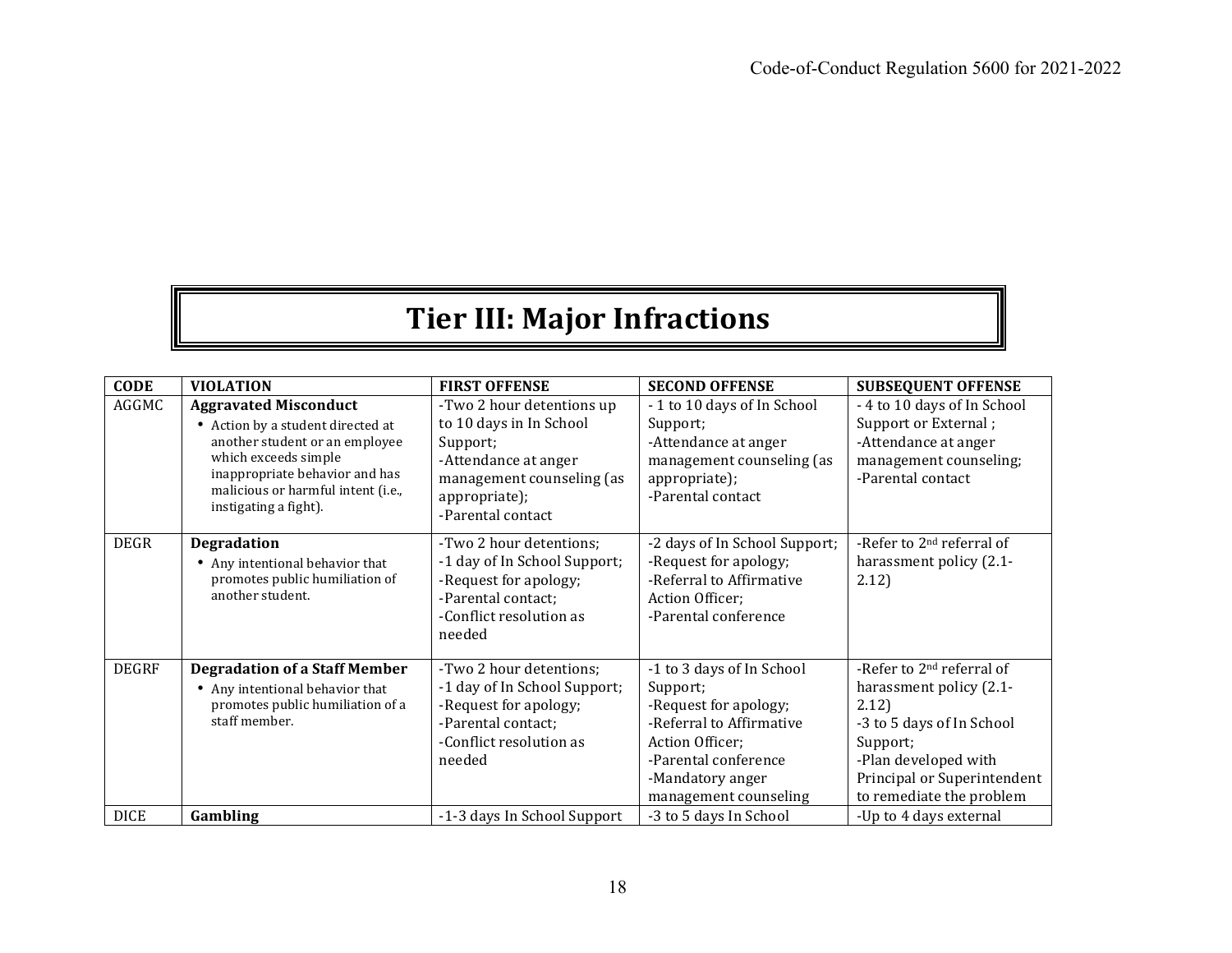# **Tier III: Major Infractions**

| <b>CODE</b>  | <b>VIOLATION</b>                                                                                                                                                                                                             | <b>FIRST OFFENSE</b>                                                                                                                                        | <b>SECOND OFFENSE</b>                                                                                                                                                              | <b>SUBSEQUENT OFFENSE</b>                                                                                                                                                                             |
|--------------|------------------------------------------------------------------------------------------------------------------------------------------------------------------------------------------------------------------------------|-------------------------------------------------------------------------------------------------------------------------------------------------------------|------------------------------------------------------------------------------------------------------------------------------------------------------------------------------------|-------------------------------------------------------------------------------------------------------------------------------------------------------------------------------------------------------|
| AGGMC        | <b>Aggravated Misconduct</b><br>• Action by a student directed at<br>another student or an employee<br>which exceeds simple<br>inappropriate behavior and has<br>malicious or harmful intent (i.e.,<br>instigating a fight). | -Two 2 hour detentions up<br>to 10 days in In School<br>Support;<br>-Attendance at anger<br>management counseling (as<br>appropriate);<br>-Parental contact | -1 to 10 days of In School<br>Support;<br>-Attendance at anger<br>management counseling (as<br>appropriate);<br>-Parental contact                                                  | - 4 to 10 days of In School<br>Support or External;<br>-Attendance at anger<br>management counseling;<br>-Parental contact                                                                            |
| <b>DEGR</b>  | <b>Degradation</b><br>• Any intentional behavior that<br>promotes public humiliation of<br>another student.                                                                                                                  | -Two 2 hour detentions;<br>-1 day of In School Support;<br>-Request for apology;<br>-Parental contact;<br>-Conflict resolution as<br>needed                 | -2 days of In School Support;<br>-Request for apology;<br>-Referral to Affirmative<br>Action Officer;<br>-Parental conference                                                      | -Refer to 2 <sup>nd</sup> referral of<br>harassment policy (2.1-<br>2.12)                                                                                                                             |
| <b>DEGRF</b> | <b>Degradation of a Staff Member</b><br>• Any intentional behavior that<br>promotes public humiliation of a<br>staff member.                                                                                                 | -Two 2 hour detentions;<br>-1 day of In School Support;<br>-Request for apology;<br>-Parental contact;<br>-Conflict resolution as<br>needed                 | -1 to 3 days of In School<br>Support;<br>-Request for apology;<br>-Referral to Affirmative<br>Action Officer;<br>-Parental conference<br>-Mandatory anger<br>management counseling | -Refer to 2 <sup>nd</sup> referral of<br>harassment policy (2.1-<br>2.12)<br>-3 to 5 days of In School<br>Support;<br>-Plan developed with<br>Principal or Superintendent<br>to remediate the problem |
| <b>DICE</b>  | Gambling                                                                                                                                                                                                                     | -1-3 days In School Support                                                                                                                                 | -3 to 5 days In School                                                                                                                                                             | -Up to 4 days external                                                                                                                                                                                |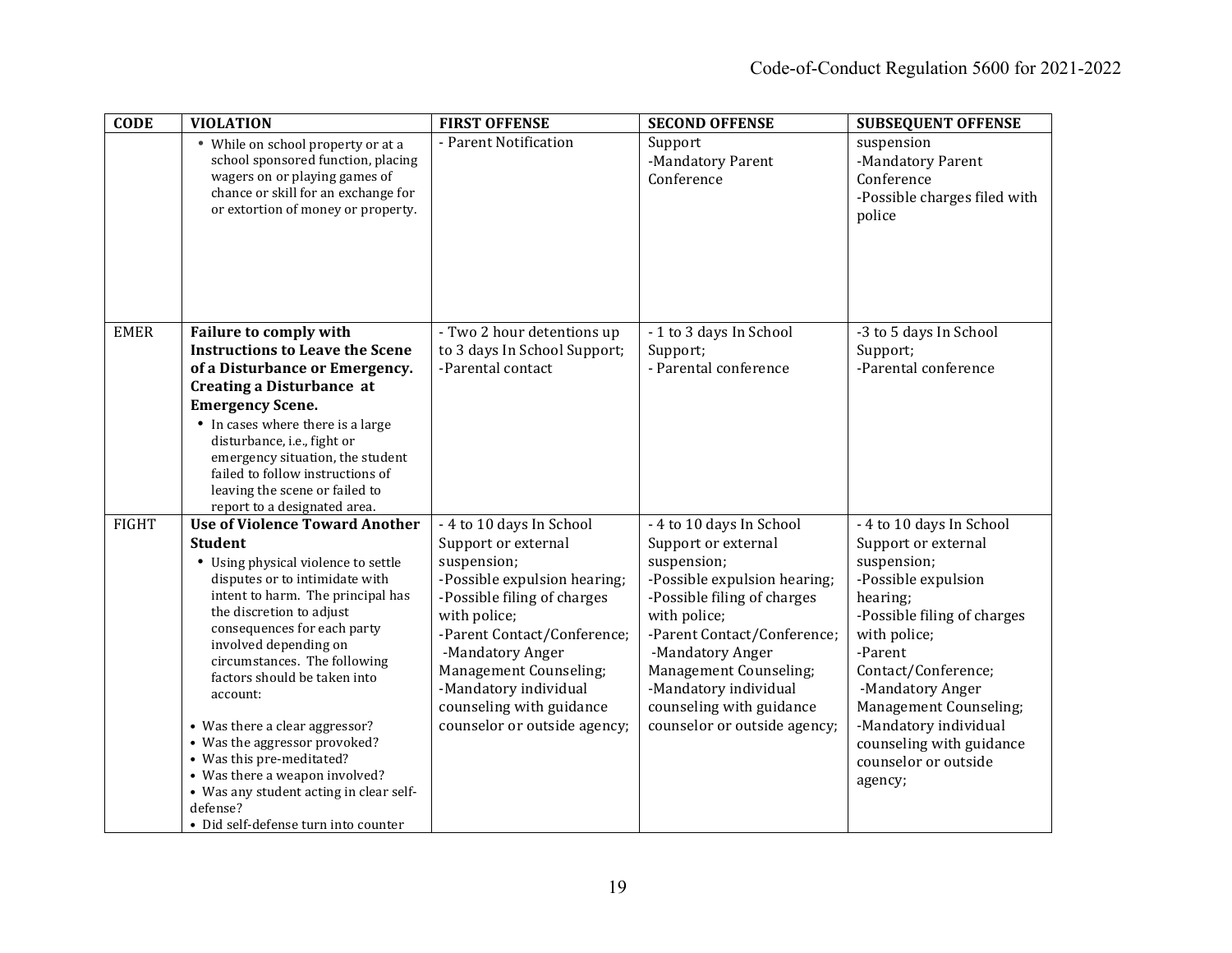| <b>CODE</b>  | <b>VIOLATION</b>                                                                                                                                                                                                                                                                                                                                                                                                                                                                                                                                                       | <b>FIRST OFFENSE</b>                                                                                                                                                                                                                                                                                            | <b>SECOND OFFENSE</b>                                                                                                                                                                                                                                                                                           | <b>SUBSEQUENT OFFENSE</b>                                                                                                                                                                                                                                                                                                |
|--------------|------------------------------------------------------------------------------------------------------------------------------------------------------------------------------------------------------------------------------------------------------------------------------------------------------------------------------------------------------------------------------------------------------------------------------------------------------------------------------------------------------------------------------------------------------------------------|-----------------------------------------------------------------------------------------------------------------------------------------------------------------------------------------------------------------------------------------------------------------------------------------------------------------|-----------------------------------------------------------------------------------------------------------------------------------------------------------------------------------------------------------------------------------------------------------------------------------------------------------------|--------------------------------------------------------------------------------------------------------------------------------------------------------------------------------------------------------------------------------------------------------------------------------------------------------------------------|
|              | • While on school property or at a<br>school sponsored function, placing<br>wagers on or playing games of<br>chance or skill for an exchange for<br>or extortion of money or property.                                                                                                                                                                                                                                                                                                                                                                                 | - Parent Notification                                                                                                                                                                                                                                                                                           | Support<br>-Mandatory Parent<br>Conference                                                                                                                                                                                                                                                                      | suspension<br>-Mandatory Parent<br>Conference<br>-Possible charges filed with<br>police                                                                                                                                                                                                                                  |
| <b>EMER</b>  | <b>Failure to comply with</b><br><b>Instructions to Leave the Scene</b><br>of a Disturbance or Emergency.<br><b>Creating a Disturbance at</b><br><b>Emergency Scene.</b><br>• In cases where there is a large<br>disturbance, i.e., fight or<br>emergency situation, the student<br>failed to follow instructions of<br>leaving the scene or failed to<br>report to a designated area.                                                                                                                                                                                 | - Two 2 hour detentions up<br>to 3 days In School Support;<br>-Parental contact                                                                                                                                                                                                                                 | -1 to 3 days In School<br>Support;<br>- Parental conference                                                                                                                                                                                                                                                     | -3 to 5 days In School<br>Support;<br>-Parental conference                                                                                                                                                                                                                                                               |
| <b>FIGHT</b> | <b>Use of Violence Toward Another</b><br><b>Student</b><br>• Using physical violence to settle<br>disputes or to intimidate with<br>intent to harm. The principal has<br>the discretion to adjust<br>consequences for each party<br>involved depending on<br>circumstances. The following<br>factors should be taken into<br>account:<br>• Was there a clear aggressor?<br>• Was the aggressor provoked?<br>• Was this pre-meditated?<br>• Was there a weapon involved?<br>• Was any student acting in clear self-<br>defense?<br>• Did self-defense turn into counter | - 4 to 10 days In School<br>Support or external<br>suspension;<br>-Possible expulsion hearing;<br>-Possible filing of charges<br>with police;<br>-Parent Contact/Conference;<br>-Mandatory Anger<br>Management Counseling;<br>-Mandatory individual<br>counseling with guidance<br>counselor or outside agency; | - 4 to 10 days In School<br>Support or external<br>suspension;<br>-Possible expulsion hearing;<br>-Possible filing of charges<br>with police;<br>-Parent Contact/Conference;<br>-Mandatory Anger<br>Management Counseling;<br>-Mandatory individual<br>counseling with guidance<br>counselor or outside agency; | - 4 to 10 days In School<br>Support or external<br>suspension;<br>-Possible expulsion<br>hearing;<br>-Possible filing of charges<br>with police;<br>-Parent<br>Contact/Conference;<br>-Mandatory Anger<br>Management Counseling;<br>-Mandatory individual<br>counseling with guidance<br>counselor or outside<br>agency; |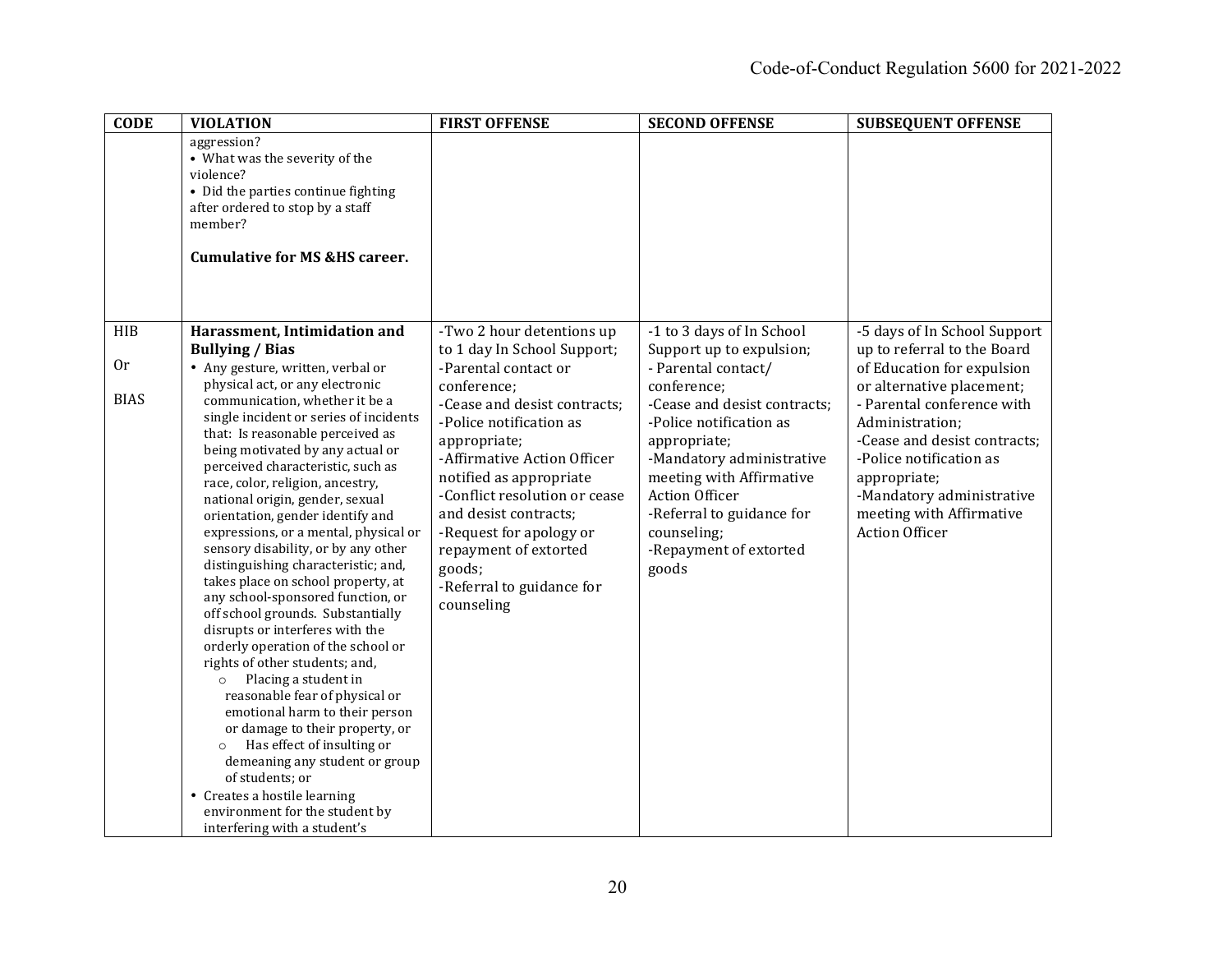| <b>CODE</b> | <b>VIOLATION</b>                                                                                                                                                                                                                                                                                                                                                                                                                                                                                                                                                                                                                                                                                                                                                                                                                                                                                                                                                                             | <b>FIRST OFFENSE</b>                                                                                                                                                                                                                                                                                                | <b>SECOND OFFENSE</b>                                                                                                                                                                                                                                   | <b>SUBSEQUENT OFFENSE</b>                                                                                                                                                                                                               |
|-------------|----------------------------------------------------------------------------------------------------------------------------------------------------------------------------------------------------------------------------------------------------------------------------------------------------------------------------------------------------------------------------------------------------------------------------------------------------------------------------------------------------------------------------------------------------------------------------------------------------------------------------------------------------------------------------------------------------------------------------------------------------------------------------------------------------------------------------------------------------------------------------------------------------------------------------------------------------------------------------------------------|---------------------------------------------------------------------------------------------------------------------------------------------------------------------------------------------------------------------------------------------------------------------------------------------------------------------|---------------------------------------------------------------------------------------------------------------------------------------------------------------------------------------------------------------------------------------------------------|-----------------------------------------------------------------------------------------------------------------------------------------------------------------------------------------------------------------------------------------|
|             | aggression?<br>• What was the severity of the<br>violence?<br>• Did the parties continue fighting<br>after ordered to stop by a staff<br>member?<br><b>Cumulative for MS &amp;HS career.</b>                                                                                                                                                                                                                                                                                                                                                                                                                                                                                                                                                                                                                                                                                                                                                                                                 |                                                                                                                                                                                                                                                                                                                     |                                                                                                                                                                                                                                                         |                                                                                                                                                                                                                                         |
| <b>HIB</b>  | Harassment, Intimidation and                                                                                                                                                                                                                                                                                                                                                                                                                                                                                                                                                                                                                                                                                                                                                                                                                                                                                                                                                                 | -Two 2 hour detentions up                                                                                                                                                                                                                                                                                           | -1 to 3 days of In School                                                                                                                                                                                                                               | -5 days of In School Support                                                                                                                                                                                                            |
| 0r          | <b>Bullying / Bias</b><br>• Any gesture, written, verbal or<br>physical act, or any electronic                                                                                                                                                                                                                                                                                                                                                                                                                                                                                                                                                                                                                                                                                                                                                                                                                                                                                               | to 1 day In School Support;<br>-Parental contact or                                                                                                                                                                                                                                                                 | Support up to expulsion;<br>- Parental contact/                                                                                                                                                                                                         | up to referral to the Board<br>of Education for expulsion                                                                                                                                                                               |
| <b>BIAS</b> | communication, whether it be a<br>single incident or series of incidents<br>that: Is reasonable perceived as<br>being motivated by any actual or<br>perceived characteristic, such as<br>race, color, religion, ancestry,<br>national origin, gender, sexual<br>orientation, gender identify and<br>expressions, or a mental, physical or<br>sensory disability, or by any other<br>distinguishing characteristic; and,<br>takes place on school property, at<br>any school-sponsored function, or<br>off school grounds. Substantially<br>disrupts or interferes with the<br>orderly operation of the school or<br>rights of other students; and,<br>Placing a student in<br>$\circ$<br>reasonable fear of physical or<br>emotional harm to their person<br>or damage to their property, or<br>Has effect of insulting or<br>$\circ$<br>demeaning any student or group<br>of students; or<br>• Creates a hostile learning<br>environment for the student by<br>interfering with a student's | conference;<br>-Cease and desist contracts;<br>-Police notification as<br>appropriate;<br>-Affirmative Action Officer<br>notified as appropriate<br>-Conflict resolution or cease<br>and desist contracts;<br>-Request for apology or<br>repayment of extorted<br>goods;<br>-Referral to guidance for<br>counseling | conference;<br>-Cease and desist contracts;<br>-Police notification as<br>appropriate;<br>-Mandatory administrative<br>meeting with Affirmative<br><b>Action Officer</b><br>-Referral to guidance for<br>counseling;<br>-Repayment of extorted<br>goods | or alternative placement;<br>- Parental conference with<br>Administration;<br>-Cease and desist contracts;<br>-Police notification as<br>appropriate;<br>-Mandatory administrative<br>meeting with Affirmative<br><b>Action Officer</b> |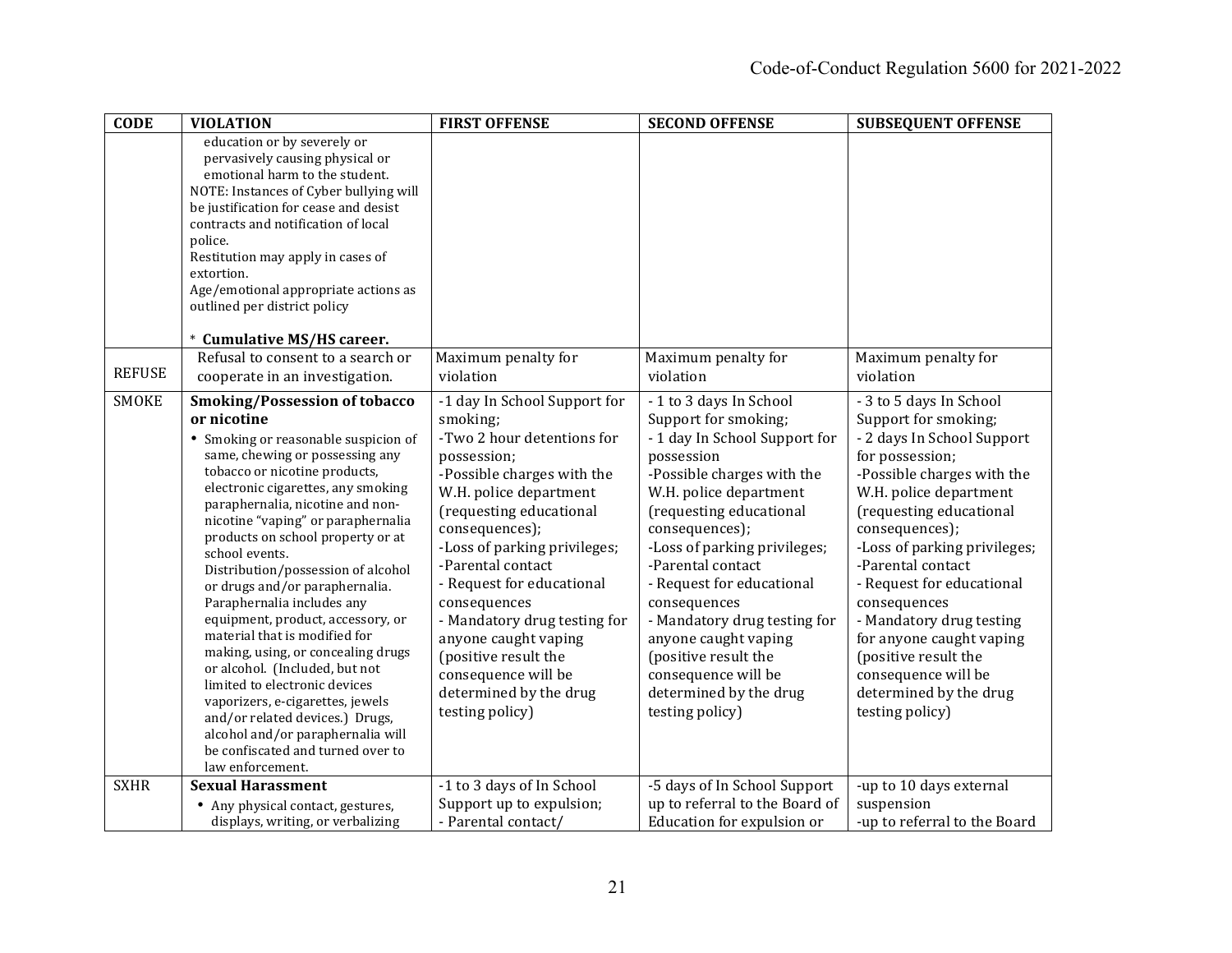| <b>CODE</b>   | <b>VIOLATION</b>                                                                                                                                                                                                                                                                                                                                                                                                                                                                                                                                                                                                                                                                                                                                                                                 | <b>FIRST OFFENSE</b>                                                                                                                                                                                                                                                                                                                                                                                                                             | <b>SECOND OFFENSE</b>                                                                                                                                                                                                                                                                                                                                                                                                                                    | <b>SUBSEQUENT OFFENSE</b>                                                                                                                                                                                                                                                                                                                                                                                                                                   |
|---------------|--------------------------------------------------------------------------------------------------------------------------------------------------------------------------------------------------------------------------------------------------------------------------------------------------------------------------------------------------------------------------------------------------------------------------------------------------------------------------------------------------------------------------------------------------------------------------------------------------------------------------------------------------------------------------------------------------------------------------------------------------------------------------------------------------|--------------------------------------------------------------------------------------------------------------------------------------------------------------------------------------------------------------------------------------------------------------------------------------------------------------------------------------------------------------------------------------------------------------------------------------------------|----------------------------------------------------------------------------------------------------------------------------------------------------------------------------------------------------------------------------------------------------------------------------------------------------------------------------------------------------------------------------------------------------------------------------------------------------------|-------------------------------------------------------------------------------------------------------------------------------------------------------------------------------------------------------------------------------------------------------------------------------------------------------------------------------------------------------------------------------------------------------------------------------------------------------------|
|               | education or by severely or<br>pervasively causing physical or<br>emotional harm to the student.<br>NOTE: Instances of Cyber bullying will<br>be justification for cease and desist<br>contracts and notification of local<br>police.<br>Restitution may apply in cases of<br>extortion.<br>Age/emotional appropriate actions as<br>outlined per district policy<br>* Cumulative MS/HS career.                                                                                                                                                                                                                                                                                                                                                                                                   |                                                                                                                                                                                                                                                                                                                                                                                                                                                  |                                                                                                                                                                                                                                                                                                                                                                                                                                                          |                                                                                                                                                                                                                                                                                                                                                                                                                                                             |
| <b>REFUSE</b> | Refusal to consent to a search or<br>cooperate in an investigation.                                                                                                                                                                                                                                                                                                                                                                                                                                                                                                                                                                                                                                                                                                                              | Maximum penalty for<br>violation                                                                                                                                                                                                                                                                                                                                                                                                                 | Maximum penalty for<br>violation                                                                                                                                                                                                                                                                                                                                                                                                                         | Maximum penalty for<br>violation                                                                                                                                                                                                                                                                                                                                                                                                                            |
| <b>SMOKE</b>  | <b>Smoking/Possession of tobacco</b><br>or nicotine<br>• Smoking or reasonable suspicion of<br>same, chewing or possessing any<br>tobacco or nicotine products,<br>electronic cigarettes, any smoking<br>paraphernalia, nicotine and non-<br>nicotine "vaping" or paraphernalia<br>products on school property or at<br>school events.<br>Distribution/possession of alcohol<br>or drugs and/or paraphernalia.<br>Paraphernalia includes any<br>equipment, product, accessory, or<br>material that is modified for<br>making, using, or concealing drugs<br>or alcohol. (Included, but not<br>limited to electronic devices<br>vaporizers, e-cigarettes, jewels<br>and/or related devices.) Drugs,<br>alcohol and/or paraphernalia will<br>be confiscated and turned over to<br>law enforcement. | -1 day In School Support for<br>smoking;<br>-Two 2 hour detentions for<br>possession;<br>-Possible charges with the<br>W.H. police department<br>(requesting educational<br>consequences);<br>-Loss of parking privileges;<br>-Parental contact<br>- Request for educational<br>consequences<br>- Mandatory drug testing for<br>anyone caught vaping<br>(positive result the<br>consequence will be<br>determined by the drug<br>testing policy) | -1 to 3 days In School<br>Support for smoking;<br>- 1 day In School Support for<br>possession<br>-Possible charges with the<br>W.H. police department<br>(requesting educational<br>consequences);<br>-Loss of parking privileges;<br>-Parental contact<br>- Request for educational<br>consequences<br>- Mandatory drug testing for<br>anyone caught vaping<br>(positive result the<br>consequence will be<br>determined by the drug<br>testing policy) | - 3 to 5 days In School<br>Support for smoking;<br>- 2 days In School Support<br>for possession;<br>-Possible charges with the<br>W.H. police department<br>(requesting educational<br>consequences);<br>-Loss of parking privileges;<br>-Parental contact<br>- Request for educational<br>consequences<br>- Mandatory drug testing<br>for anyone caught vaping<br>(positive result the<br>consequence will be<br>determined by the drug<br>testing policy) |
| <b>SXHR</b>   | <b>Sexual Harassment</b><br>• Any physical contact, gestures,<br>displays, writing, or verbalizing                                                                                                                                                                                                                                                                                                                                                                                                                                                                                                                                                                                                                                                                                               | -1 to 3 days of In School<br>Support up to expulsion;<br>- Parental contact/                                                                                                                                                                                                                                                                                                                                                                     | -5 days of In School Support<br>up to referral to the Board of<br>Education for expulsion or                                                                                                                                                                                                                                                                                                                                                             | -up to 10 days external<br>suspension<br>-up to referral to the Board                                                                                                                                                                                                                                                                                                                                                                                       |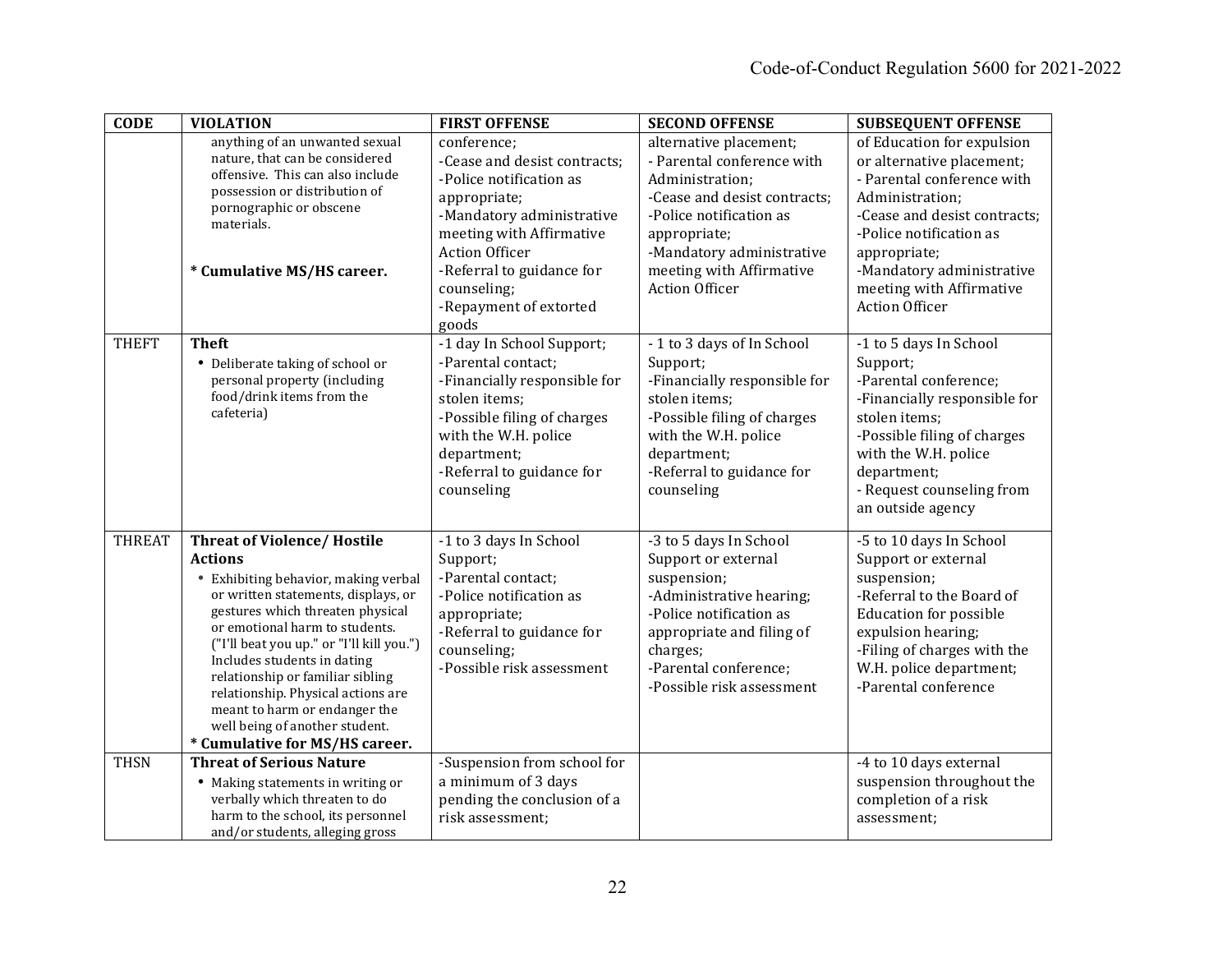| <b>CODE</b>   | <b>VIOLATION</b>                                                                                                                                                                                                                                                                                                                                                                                                                                                  | <b>FIRST OFFENSE</b>                                                                                                                                                                                                                                    | <b>SECOND OFFENSE</b>                                                                                                                                                                                                                | <b>SUBSEQUENT OFFENSE</b>                                                                                                                                                                                                                                             |
|---------------|-------------------------------------------------------------------------------------------------------------------------------------------------------------------------------------------------------------------------------------------------------------------------------------------------------------------------------------------------------------------------------------------------------------------------------------------------------------------|---------------------------------------------------------------------------------------------------------------------------------------------------------------------------------------------------------------------------------------------------------|--------------------------------------------------------------------------------------------------------------------------------------------------------------------------------------------------------------------------------------|-----------------------------------------------------------------------------------------------------------------------------------------------------------------------------------------------------------------------------------------------------------------------|
|               | anything of an unwanted sexual<br>nature, that can be considered<br>offensive. This can also include<br>possession or distribution of<br>pornographic or obscene<br>materials.<br>* Cumulative MS/HS career.                                                                                                                                                                                                                                                      | conference;<br>-Cease and desist contracts;<br>-Police notification as<br>appropriate;<br>-Mandatory administrative<br>meeting with Affirmative<br><b>Action Officer</b><br>-Referral to guidance for<br>counseling;<br>-Repayment of extorted<br>goods | alternative placement;<br>- Parental conference with<br>Administration:<br>-Cease and desist contracts;<br>-Police notification as<br>appropriate;<br>-Mandatory administrative<br>meeting with Affirmative<br><b>Action Officer</b> | of Education for expulsion<br>or alternative placement;<br>- Parental conference with<br>Administration;<br>-Cease and desist contracts;<br>-Police notification as<br>appropriate;<br>-Mandatory administrative<br>meeting with Affirmative<br><b>Action Officer</b> |
| <b>THEFT</b>  | <b>Theft</b><br>• Deliberate taking of school or<br>personal property (including<br>food/drink items from the<br>cafeteria)                                                                                                                                                                                                                                                                                                                                       | -1 day In School Support;<br>-Parental contact;<br>-Financially responsible for<br>stolen items:<br>-Possible filing of charges<br>with the W.H. police<br>department;<br>-Referral to guidance for<br>counseling                                       | -1 to 3 days of In School<br>Support;<br>-Financially responsible for<br>stolen items:<br>-Possible filing of charges<br>with the W.H. police<br>department;<br>-Referral to guidance for<br>counseling                              | -1 to 5 days In School<br>Support;<br>-Parental conference;<br>-Financially responsible for<br>stolen items;<br>-Possible filing of charges<br>with the W.H. police<br>department;<br>- Request counseling from<br>an outside agency                                  |
| <b>THREAT</b> | <b>Threat of Violence/Hostile</b><br><b>Actions</b><br>Exhibiting behavior, making verbal<br>or written statements, displays, or<br>gestures which threaten physical<br>or emotional harm to students.<br>("I'll beat you up." or "I'll kill you.")<br>Includes students in dating<br>relationship or familiar sibling<br>relationship. Physical actions are<br>meant to harm or endanger the<br>well being of another student.<br>* Cumulative for MS/HS career. | -1 to 3 days In School<br>Support;<br>-Parental contact;<br>-Police notification as<br>appropriate;<br>-Referral to guidance for<br>counseling;<br>-Possible risk assessment                                                                            | -3 to 5 days In School<br>Support or external<br>suspension;<br>-Administrative hearing;<br>-Police notification as<br>appropriate and filing of<br>charges;<br>-Parental conference;<br>-Possible risk assessment                   | -5 to 10 days In School<br>Support or external<br>suspension;<br>-Referral to the Board of<br><b>Education for possible</b><br>expulsion hearing;<br>-Filing of charges with the<br>W.H. police department;<br>-Parental conference                                   |
| <b>THSN</b>   | <b>Threat of Serious Nature</b><br>• Making statements in writing or<br>verbally which threaten to do<br>harm to the school, its personnel<br>and/or students, alleging gross                                                                                                                                                                                                                                                                                     | -Suspension from school for<br>a minimum of 3 days<br>pending the conclusion of a<br>risk assessment;                                                                                                                                                   |                                                                                                                                                                                                                                      | -4 to 10 days external<br>suspension throughout the<br>completion of a risk<br>assessment;                                                                                                                                                                            |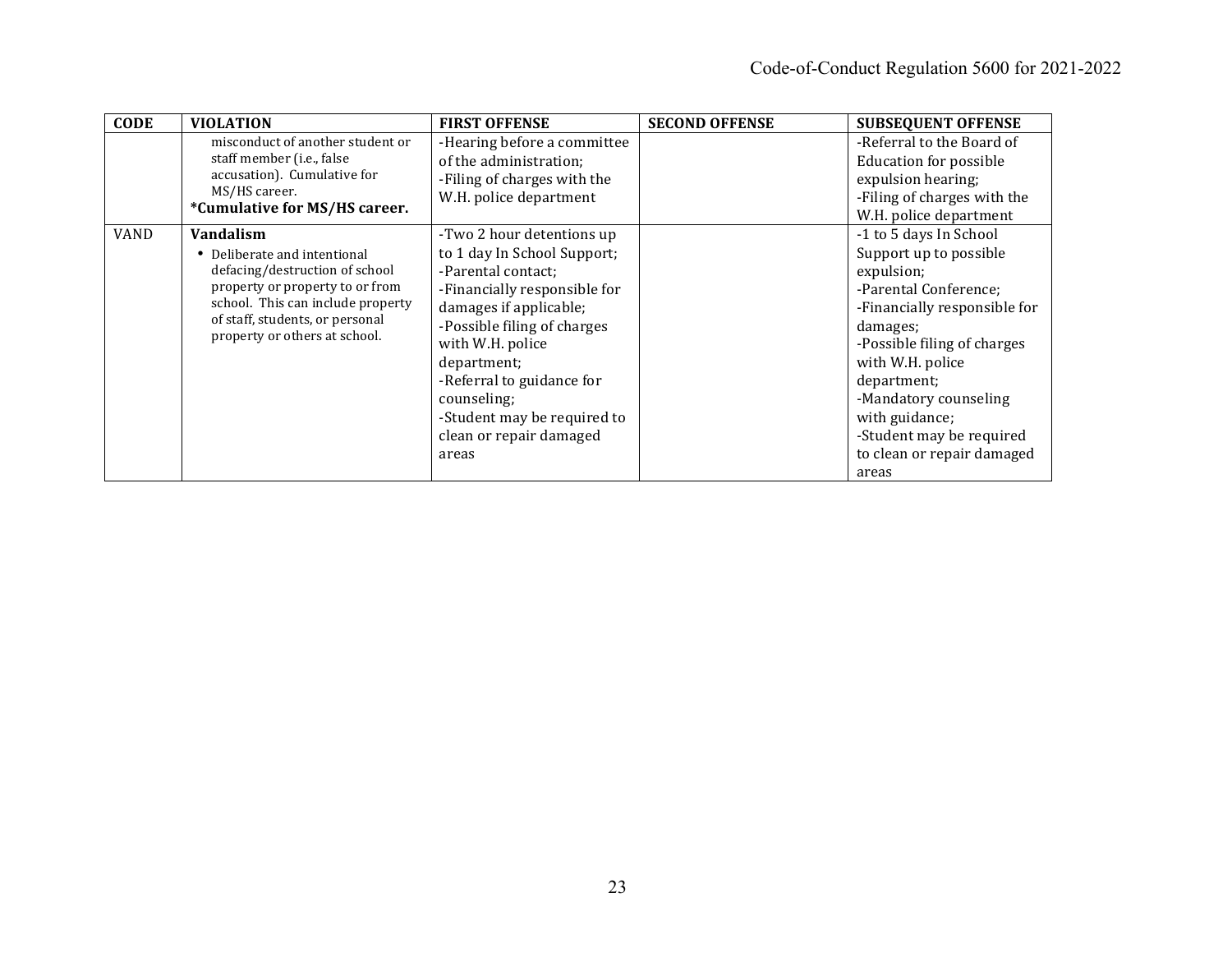| <b>CODE</b> | <b>VIOLATION</b>                                                                                                                                                                                                        | <b>FIRST OFFENSE</b>                                                                                                                                                                                                                                                                                                      | <b>SECOND OFFENSE</b> | <b>SUBSEQUENT OFFENSE</b>                                                                                                                                                                                                                                                                                           |
|-------------|-------------------------------------------------------------------------------------------------------------------------------------------------------------------------------------------------------------------------|---------------------------------------------------------------------------------------------------------------------------------------------------------------------------------------------------------------------------------------------------------------------------------------------------------------------------|-----------------------|---------------------------------------------------------------------------------------------------------------------------------------------------------------------------------------------------------------------------------------------------------------------------------------------------------------------|
|             | misconduct of another student or<br>staff member (i.e., false<br>accusation). Cumulative for<br>MS/HS career.<br>*Cumulative for MS/HS career.                                                                          | -Hearing before a committee<br>of the administration;<br>-Filing of charges with the<br>W.H. police department                                                                                                                                                                                                            |                       | -Referral to the Board of<br><b>Education for possible</b><br>expulsion hearing;<br>-Filing of charges with the<br>W.H. police department                                                                                                                                                                           |
| VAND        | Vandalism<br>• Deliberate and intentional<br>defacing/destruction of school<br>property or property to or from<br>school. This can include property<br>of staff, students, or personal<br>property or others at school. | -Two 2 hour detentions up<br>to 1 day In School Support;<br>-Parental contact;<br>-Financially responsible for<br>damages if applicable;<br>-Possible filing of charges<br>with W.H. police<br>department;<br>-Referral to guidance for<br>counseling;<br>-Student may be required to<br>clean or repair damaged<br>areas |                       | -1 to 5 days In School<br>Support up to possible<br>expulsion;<br>-Parental Conference;<br>-Financially responsible for<br>damages;<br>-Possible filing of charges<br>with W.H. police<br>department;<br>-Mandatory counseling<br>with guidance;<br>-Student may be required<br>to clean or repair damaged<br>areas |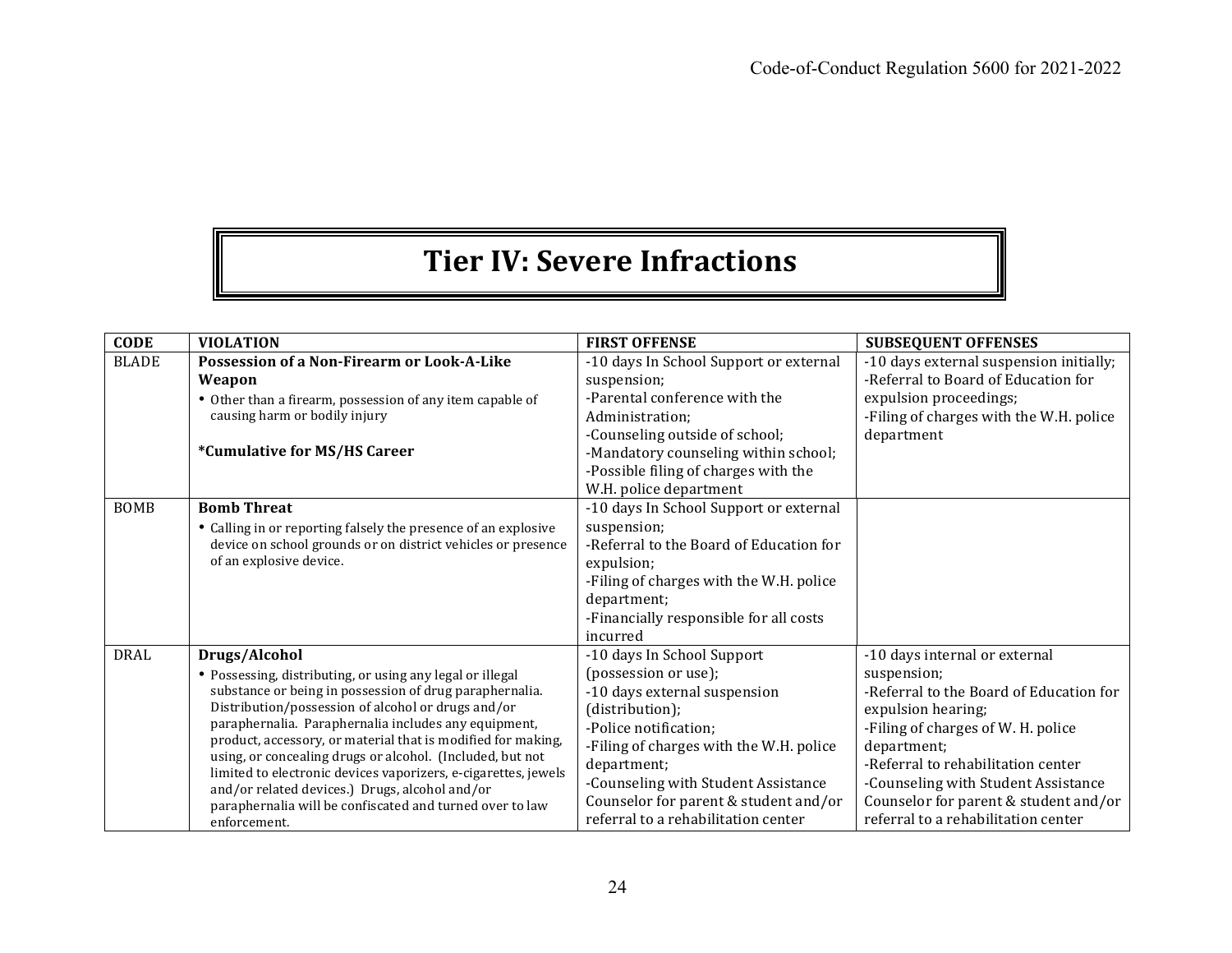# **Tier IV: Severe Infractions**

| <b>CODE</b>  | <b>VIOLATION</b>                                                                                                                                                                                                                                                                                                                                                                                                                                                                                                                                                                 | <b>FIRST OFFENSE</b>                                                                                                                                                                                                                                                                                            | <b>SUBSEQUENT OFFENSES</b>                                                                                                                                                                                                                                                                                                      |
|--------------|----------------------------------------------------------------------------------------------------------------------------------------------------------------------------------------------------------------------------------------------------------------------------------------------------------------------------------------------------------------------------------------------------------------------------------------------------------------------------------------------------------------------------------------------------------------------------------|-----------------------------------------------------------------------------------------------------------------------------------------------------------------------------------------------------------------------------------------------------------------------------------------------------------------|---------------------------------------------------------------------------------------------------------------------------------------------------------------------------------------------------------------------------------------------------------------------------------------------------------------------------------|
| <b>BLADE</b> | Possession of a Non-Firearm or Look-A-Like<br>Weapon                                                                                                                                                                                                                                                                                                                                                                                                                                                                                                                             | -10 days In School Support or external<br>suspension;                                                                                                                                                                                                                                                           | -10 days external suspension initially;<br>-Referral to Board of Education for                                                                                                                                                                                                                                                  |
|              | • Other than a firearm, possession of any item capable of<br>causing harm or bodily injury                                                                                                                                                                                                                                                                                                                                                                                                                                                                                       | -Parental conference with the<br>Administration:<br>-Counseling outside of school;                                                                                                                                                                                                                              | expulsion proceedings;<br>-Filing of charges with the W.H. police<br>department                                                                                                                                                                                                                                                 |
|              | *Cumulative for MS/HS Career                                                                                                                                                                                                                                                                                                                                                                                                                                                                                                                                                     | -Mandatory counseling within school;<br>-Possible filing of charges with the<br>W.H. police department                                                                                                                                                                                                          |                                                                                                                                                                                                                                                                                                                                 |
| <b>BOMB</b>  | <b>Bomb Threat</b><br>• Calling in or reporting falsely the presence of an explosive<br>device on school grounds or on district vehicles or presence<br>of an explosive device.                                                                                                                                                                                                                                                                                                                                                                                                  | -10 days In School Support or external<br>suspension;<br>-Referral to the Board of Education for<br>expulsion;<br>-Filing of charges with the W.H. police<br>department;<br>-Financially responsible for all costs<br>incurred                                                                                  |                                                                                                                                                                                                                                                                                                                                 |
| <b>DRAL</b>  | Drugs/Alcohol<br>• Possessing, distributing, or using any legal or illegal<br>substance or being in possession of drug paraphernalia.<br>Distribution/possession of alcohol or drugs and/or<br>paraphernalia. Paraphernalia includes any equipment,<br>product, accessory, or material that is modified for making,<br>using, or concealing drugs or alcohol. (Included, but not<br>limited to electronic devices vaporizers, e-cigarettes, jewels<br>and/or related devices.) Drugs, alcohol and/or<br>paraphernalia will be confiscated and turned over to law<br>enforcement. | -10 days In School Support<br>(possession or use);<br>-10 days external suspension<br>(distribution);<br>-Police notification;<br>-Filing of charges with the W.H. police<br>department;<br>-Counseling with Student Assistance<br>Counselor for parent & student and/or<br>referral to a rehabilitation center | -10 days internal or external<br>suspension;<br>-Referral to the Board of Education for<br>expulsion hearing;<br>-Filing of charges of W. H. police<br>department;<br>-Referral to rehabilitation center<br>-Counseling with Student Assistance<br>Counselor for parent & student and/or<br>referral to a rehabilitation center |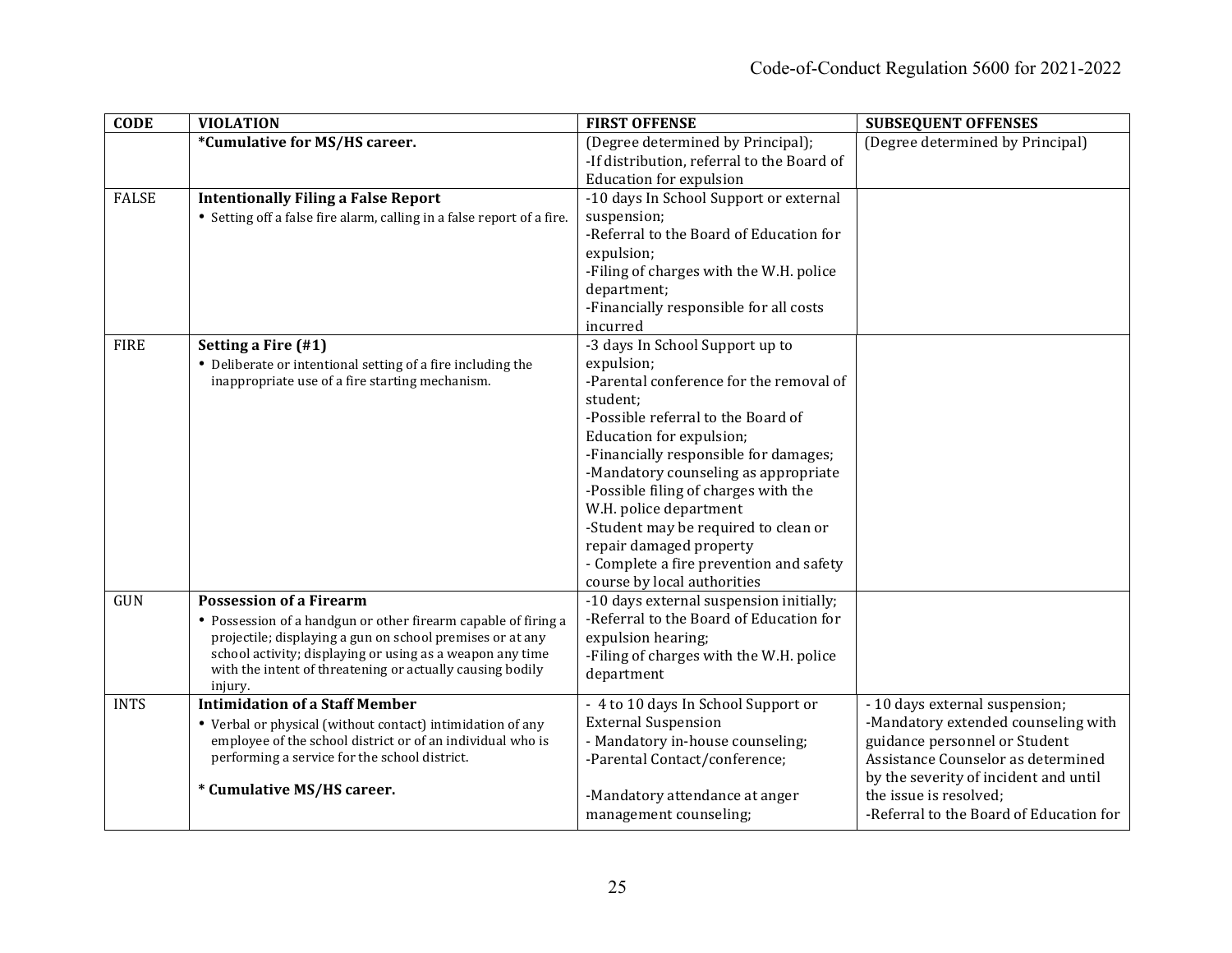| <b>CODE</b>  | <b>VIOLATION</b>                                                                                                                                                                                                                                                                                   | <b>FIRST OFFENSE</b>                                                                                                                                                                                                                                                                                                                                                                                                                                                   | <b>SUBSEQUENT OFFENSES</b>                                                                                                                                                                                                                                 |
|--------------|----------------------------------------------------------------------------------------------------------------------------------------------------------------------------------------------------------------------------------------------------------------------------------------------------|------------------------------------------------------------------------------------------------------------------------------------------------------------------------------------------------------------------------------------------------------------------------------------------------------------------------------------------------------------------------------------------------------------------------------------------------------------------------|------------------------------------------------------------------------------------------------------------------------------------------------------------------------------------------------------------------------------------------------------------|
|              | *Cumulative for MS/HS career.                                                                                                                                                                                                                                                                      | (Degree determined by Principal);<br>-If distribution, referral to the Board of<br><b>Education for expulsion</b>                                                                                                                                                                                                                                                                                                                                                      | (Degree determined by Principal)                                                                                                                                                                                                                           |
| <b>FALSE</b> | <b>Intentionally Filing a False Report</b><br>• Setting off a false fire alarm, calling in a false report of a fire.                                                                                                                                                                               | -10 days In School Support or external<br>suspension;<br>-Referral to the Board of Education for<br>expulsion;<br>-Filing of charges with the W.H. police<br>department;<br>-Financially responsible for all costs<br>incurred                                                                                                                                                                                                                                         |                                                                                                                                                                                                                                                            |
| <b>FIRE</b>  | Setting a Fire (#1)<br>• Deliberate or intentional setting of a fire including the<br>inappropriate use of a fire starting mechanism.                                                                                                                                                              | -3 days In School Support up to<br>expulsion;<br>-Parental conference for the removal of<br>student;<br>-Possible referral to the Board of<br>Education for expulsion;<br>-Financially responsible for damages;<br>-Mandatory counseling as appropriate<br>-Possible filing of charges with the<br>W.H. police department<br>-Student may be required to clean or<br>repair damaged property<br>- Complete a fire prevention and safety<br>course by local authorities |                                                                                                                                                                                                                                                            |
| GUN          | <b>Possession of a Firearm</b><br>• Possession of a handgun or other firearm capable of firing a<br>projectile; displaying a gun on school premises or at any<br>school activity; displaying or using as a weapon any time<br>with the intent of threatening or actually causing bodily<br>injury. | -10 days external suspension initially;<br>-Referral to the Board of Education for<br>expulsion hearing;<br>-Filing of charges with the W.H. police<br>department                                                                                                                                                                                                                                                                                                      |                                                                                                                                                                                                                                                            |
| <b>INTS</b>  | <b>Intimidation of a Staff Member</b><br>• Verbal or physical (without contact) intimidation of any<br>employee of the school district or of an individual who is<br>performing a service for the school district.<br>* Cumulative MS/HS career.                                                   | - 4 to 10 days In School Support or<br><b>External Suspension</b><br>- Mandatory in-house counseling;<br>-Parental Contact/conference;<br>-Mandatory attendance at anger<br>management counseling;                                                                                                                                                                                                                                                                     | - 10 days external suspension;<br>-Mandatory extended counseling with<br>guidance personnel or Student<br>Assistance Counselor as determined<br>by the severity of incident and until<br>the issue is resolved:<br>-Referral to the Board of Education for |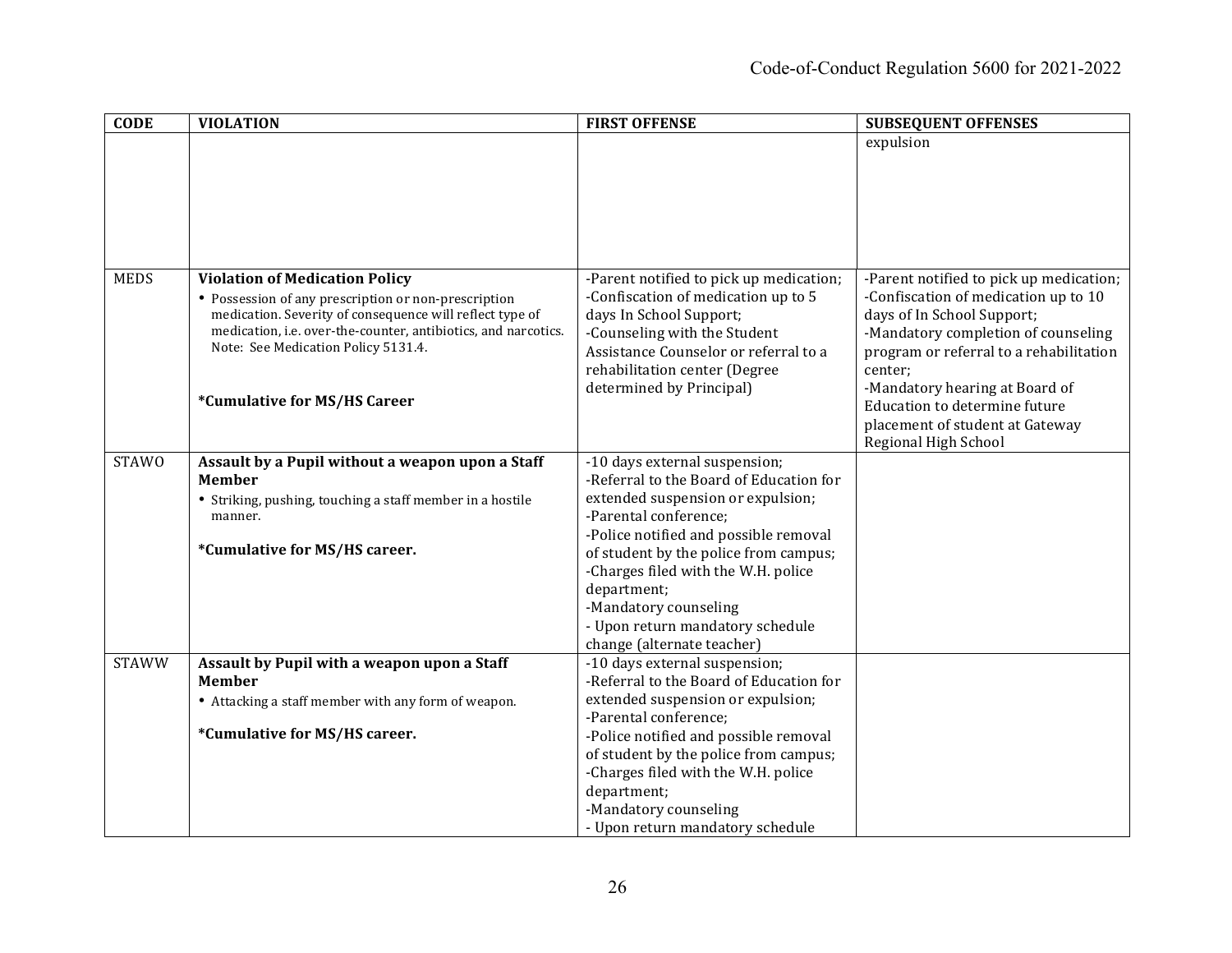| <b>CODE</b>  | <b>VIOLATION</b>                                               | <b>FIRST OFFENSE</b>                                        | <b>SUBSEQUENT OFFENSES</b>              |
|--------------|----------------------------------------------------------------|-------------------------------------------------------------|-----------------------------------------|
|              |                                                                |                                                             | expulsion                               |
|              |                                                                |                                                             |                                         |
|              |                                                                |                                                             |                                         |
|              |                                                                |                                                             |                                         |
|              |                                                                |                                                             |                                         |
|              |                                                                |                                                             |                                         |
|              |                                                                |                                                             |                                         |
| <b>MEDS</b>  | <b>Violation of Medication Policy</b>                          | -Parent notified to pick up medication;                     | -Parent notified to pick up medication; |
|              | • Possession of any prescription or non-prescription           | -Confiscation of medication up to 5                         | -Confiscation of medication up to 10    |
|              | medication. Severity of consequence will reflect type of       | days In School Support;                                     | days of In School Support;              |
|              | medication, i.e. over-the-counter, antibiotics, and narcotics. | -Counseling with the Student                                | -Mandatory completion of counseling     |
|              | Note: See Medication Policy 5131.4.                            | Assistance Counselor or referral to a                       | program or referral to a rehabilitation |
|              |                                                                | rehabilitation center (Degree                               | center;                                 |
|              |                                                                | determined by Principal)                                    | -Mandatory hearing at Board of          |
|              | *Cumulative for MS/HS Career                                   |                                                             | Education to determine future           |
|              |                                                                |                                                             | placement of student at Gateway         |
|              |                                                                |                                                             | Regional High School                    |
| <b>STAWO</b> | Assault by a Pupil without a weapon upon a Staff               | -10 days external suspension;                               |                                         |
|              | <b>Member</b>                                                  | -Referral to the Board of Education for                     |                                         |
|              | • Striking, pushing, touching a staff member in a hostile      | extended suspension or expulsion;                           |                                         |
|              | manner.                                                        | -Parental conference;                                       |                                         |
|              |                                                                | -Police notified and possible removal                       |                                         |
|              | *Cumulative for MS/HS career.                                  | of student by the police from campus;                       |                                         |
|              |                                                                | -Charges filed with the W.H. police                         |                                         |
|              |                                                                | department;                                                 |                                         |
|              |                                                                | -Mandatory counseling                                       |                                         |
|              |                                                                | - Upon return mandatory schedule                            |                                         |
| <b>STAWW</b> | Assault by Pupil with a weapon upon a Staff                    | change (alternate teacher)<br>-10 days external suspension; |                                         |
|              | <b>Member</b>                                                  | -Referral to the Board of Education for                     |                                         |
|              | • Attacking a staff member with any form of weapon.            | extended suspension or expulsion;                           |                                         |
|              |                                                                | -Parental conference;                                       |                                         |
|              | *Cumulative for MS/HS career.                                  | -Police notified and possible removal                       |                                         |
|              |                                                                | of student by the police from campus;                       |                                         |
|              |                                                                | -Charges filed with the W.H. police                         |                                         |
|              |                                                                | department;                                                 |                                         |
|              |                                                                | -Mandatory counseling                                       |                                         |
|              |                                                                | - Upon return mandatory schedule                            |                                         |